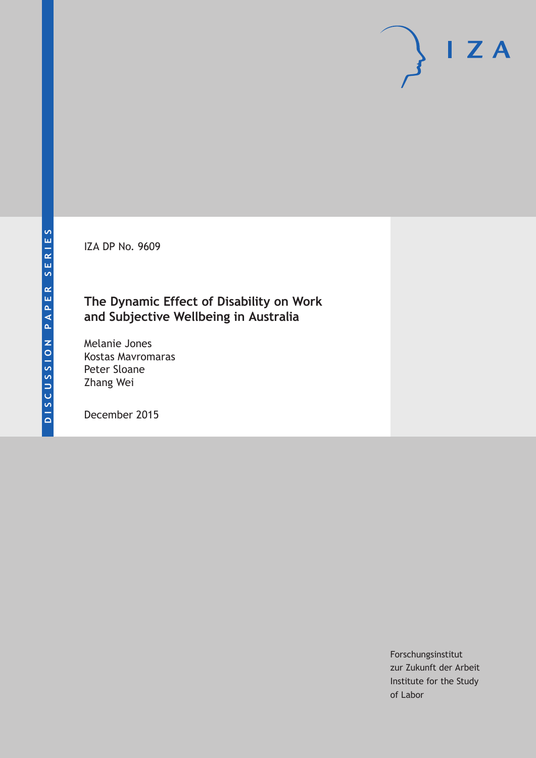**DISCUSSION PAPER SERIES**

DISCUSSION PAPER SERIES

IZA DP No. 9609

# **The Dynamic Effect of Disability on Work and Subjective Wellbeing in Australia**

Melanie Jones Kostas Mavromaras Peter Sloane Zhang Wei

December 2015

Forschungsinstitut zur Zukunft der Arbeit Institute for the Study of Labor

 $I Z A$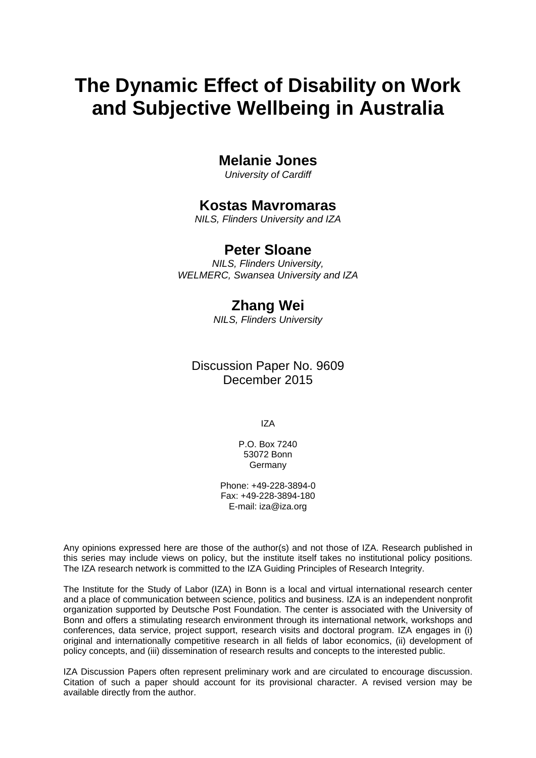# **The Dynamic Effect of Disability on Work and Subjective Wellbeing in Australia**

## **Melanie Jones**

*University of Cardiff* 

# **Kostas Mavromaras**

*NILS, Flinders University and IZA* 

### **Peter Sloane**

*NILS, Flinders University, WELMERC, Swansea University and IZA*

# **Zhang Wei**

*NILS, Flinders University* 

Discussion Paper No. 9609 December 2015

IZA

P.O. Box 7240 53072 Bonn Germany

Phone: +49-228-3894-0 Fax: +49-228-3894-180 E-mail: iza@iza.org

Any opinions expressed here are those of the author(s) and not those of IZA. Research published in this series may include views on policy, but the institute itself takes no institutional policy positions. The IZA research network is committed to the IZA Guiding Principles of Research Integrity.

The Institute for the Study of Labor (IZA) in Bonn is a local and virtual international research center and a place of communication between science, politics and business. IZA is an independent nonprofit organization supported by Deutsche Post Foundation. The center is associated with the University of Bonn and offers a stimulating research environment through its international network, workshops and conferences, data service, project support, research visits and doctoral program. IZA engages in (i) original and internationally competitive research in all fields of labor economics, (ii) development of policy concepts, and (iii) dissemination of research results and concepts to the interested public.

IZA Discussion Papers often represent preliminary work and are circulated to encourage discussion. Citation of such a paper should account for its provisional character. A revised version may be available directly from the author.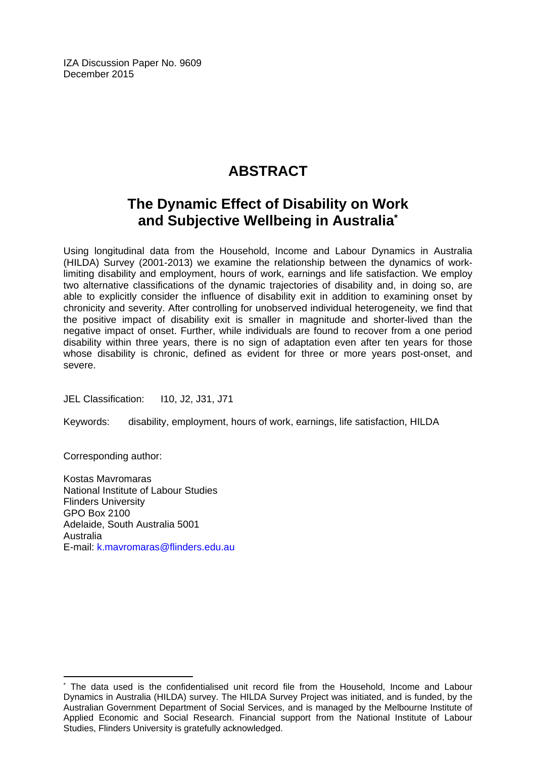IZA Discussion Paper No. 9609 December 2015

# **ABSTRACT**

# **The Dynamic Effect of Disability on Work and Subjective Wellbeing in Australia\***

Using longitudinal data from the Household, Income and Labour Dynamics in Australia (HILDA) Survey (2001-2013) we examine the relationship between the dynamics of worklimiting disability and employment, hours of work, earnings and life satisfaction. We employ two alternative classifications of the dynamic trajectories of disability and, in doing so, are able to explicitly consider the influence of disability exit in addition to examining onset by chronicity and severity. After controlling for unobserved individual heterogeneity, we find that the positive impact of disability exit is smaller in magnitude and shorter-lived than the negative impact of onset. Further, while individuals are found to recover from a one period disability within three years, there is no sign of adaptation even after ten years for those whose disability is chronic, defined as evident for three or more years post-onset, and severe.

JEL Classification: 110, J2, J31, J71

Keywords: disability, employment, hours of work, earnings, life satisfaction, HILDA

Corresponding author:

 $\overline{a}$ 

Kostas Mavromaras National Institute of Labour Studies Flinders University GPO Box 2100 Adelaide, South Australia 5001 Australia E-mail: k.mavromaras@flinders.edu.au

<sup>\*</sup> The data used is the confidentialised unit record file from the Household, Income and Labour Dynamics in Australia (HILDA) survey. The HILDA Survey Project was initiated, and is funded, by the Australian Government Department of Social Services, and is managed by the Melbourne Institute of Applied Economic and Social Research. Financial support from the National Institute of Labour Studies, Flinders University is gratefully acknowledged.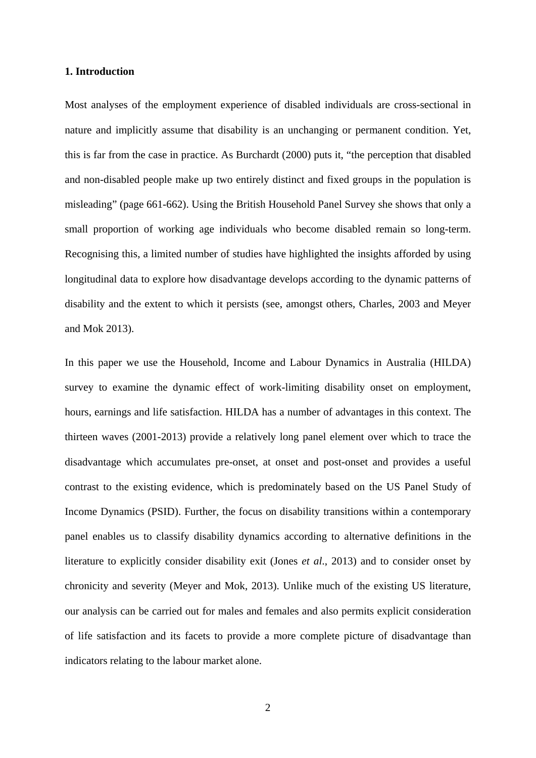#### **1. Introduction**

Most analyses of the employment experience of disabled individuals are cross-sectional in nature and implicitly assume that disability is an unchanging or permanent condition. Yet, this is far from the case in practice. As Burchardt (2000) puts it, "the perception that disabled and non-disabled people make up two entirely distinct and fixed groups in the population is misleading" (page 661-662). Using the British Household Panel Survey she shows that only a small proportion of working age individuals who become disabled remain so long-term. Recognising this, a limited number of studies have highlighted the insights afforded by using longitudinal data to explore how disadvantage develops according to the dynamic patterns of disability and the extent to which it persists (see, amongst others, Charles, 2003 and Meyer and Mok 2013).

In this paper we use the Household, Income and Labour Dynamics in Australia (HILDA) survey to examine the dynamic effect of work-limiting disability onset on employment, hours, earnings and life satisfaction. HILDA has a number of advantages in this context. The thirteen waves (2001-2013) provide a relatively long panel element over which to trace the disadvantage which accumulates pre-onset, at onset and post-onset and provides a useful contrast to the existing evidence, which is predominately based on the US Panel Study of Income Dynamics (PSID). Further, the focus on disability transitions within a contemporary panel enables us to classify disability dynamics according to alternative definitions in the literature to explicitly consider disability exit (Jones *et al*., 2013) and to consider onset by chronicity and severity (Meyer and Mok, 2013). Unlike much of the existing US literature, our analysis can be carried out for males and females and also permits explicit consideration of life satisfaction and its facets to provide a more complete picture of disadvantage than indicators relating to the labour market alone.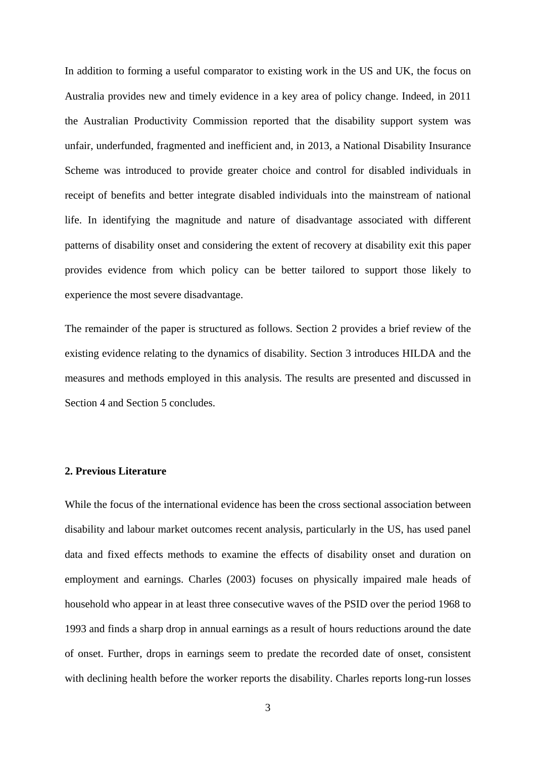In addition to forming a useful comparator to existing work in the US and UK, the focus on Australia provides new and timely evidence in a key area of policy change. Indeed, in 2011 the Australian Productivity Commission reported that the disability support system was unfair, underfunded, fragmented and inefficient and, in 2013, a National Disability Insurance Scheme was introduced to provide greater choice and control for disabled individuals in receipt of benefits and better integrate disabled individuals into the mainstream of national life. In identifying the magnitude and nature of disadvantage associated with different patterns of disability onset and considering the extent of recovery at disability exit this paper provides evidence from which policy can be better tailored to support those likely to experience the most severe disadvantage.

The remainder of the paper is structured as follows. Section 2 provides a brief review of the existing evidence relating to the dynamics of disability. Section 3 introduces HILDA and the measures and methods employed in this analysis. The results are presented and discussed in Section 4 and Section 5 concludes.

#### **2. Previous Literature**

While the focus of the international evidence has been the cross sectional association between disability and labour market outcomes recent analysis, particularly in the US, has used panel data and fixed effects methods to examine the effects of disability onset and duration on employment and earnings. Charles (2003) focuses on physically impaired male heads of household who appear in at least three consecutive waves of the PSID over the period 1968 to 1993 and finds a sharp drop in annual earnings as a result of hours reductions around the date of onset. Further, drops in earnings seem to predate the recorded date of onset, consistent with declining health before the worker reports the disability. Charles reports long-run losses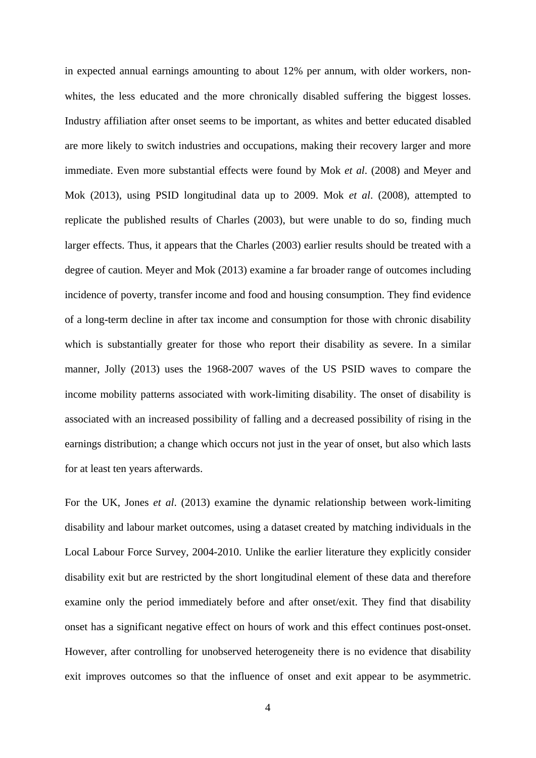in expected annual earnings amounting to about 12% per annum, with older workers, nonwhites, the less educated and the more chronically disabled suffering the biggest losses. Industry affiliation after onset seems to be important, as whites and better educated disabled are more likely to switch industries and occupations, making their recovery larger and more immediate. Even more substantial effects were found by Mok *et al*. (2008) and Meyer and Mok (2013), using PSID longitudinal data up to 2009. Mok *et al*. (2008), attempted to replicate the published results of Charles (2003), but were unable to do so, finding much larger effects. Thus, it appears that the Charles (2003) earlier results should be treated with a degree of caution. Meyer and Mok (2013) examine a far broader range of outcomes including incidence of poverty, transfer income and food and housing consumption. They find evidence of a long-term decline in after tax income and consumption for those with chronic disability which is substantially greater for those who report their disability as severe. In a similar manner, Jolly (2013) uses the 1968-2007 waves of the US PSID waves to compare the income mobility patterns associated with work-limiting disability. The onset of disability is associated with an increased possibility of falling and a decreased possibility of rising in the earnings distribution; a change which occurs not just in the year of onset, but also which lasts for at least ten years afterwards.

For the UK, Jones *et al*. (2013) examine the dynamic relationship between work-limiting disability and labour market outcomes, using a dataset created by matching individuals in the Local Labour Force Survey, 2004-2010. Unlike the earlier literature they explicitly consider disability exit but are restricted by the short longitudinal element of these data and therefore examine only the period immediately before and after onset/exit. They find that disability onset has a significant negative effect on hours of work and this effect continues post-onset. However, after controlling for unobserved heterogeneity there is no evidence that disability exit improves outcomes so that the influence of onset and exit appear to be asymmetric.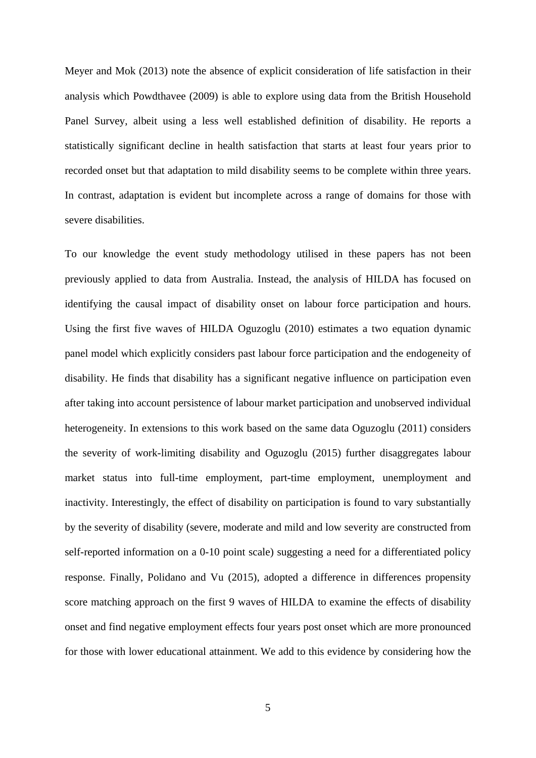Meyer and Mok (2013) note the absence of explicit consideration of life satisfaction in their analysis which Powdthavee (2009) is able to explore using data from the British Household Panel Survey, albeit using a less well established definition of disability. He reports a statistically significant decline in health satisfaction that starts at least four years prior to recorded onset but that adaptation to mild disability seems to be complete within three years. In contrast, adaptation is evident but incomplete across a range of domains for those with severe disabilities.

To our knowledge the event study methodology utilised in these papers has not been previously applied to data from Australia. Instead, the analysis of HILDA has focused on identifying the causal impact of disability onset on labour force participation and hours. Using the first five waves of HILDA Oguzoglu (2010) estimates a two equation dynamic panel model which explicitly considers past labour force participation and the endogeneity of disability. He finds that disability has a significant negative influence on participation even after taking into account persistence of labour market participation and unobserved individual heterogeneity. In extensions to this work based on the same data Oguzoglu (2011) considers the severity of work-limiting disability and Oguzoglu (2015) further disaggregates labour market status into full-time employment, part-time employment, unemployment and inactivity. Interestingly, the effect of disability on participation is found to vary substantially by the severity of disability (severe, moderate and mild and low severity are constructed from self-reported information on a 0-10 point scale) suggesting a need for a differentiated policy response. Finally, Polidano and Vu (2015), adopted a difference in differences propensity score matching approach on the first 9 waves of HILDA to examine the effects of disability onset and find negative employment effects four years post onset which are more pronounced for those with lower educational attainment. We add to this evidence by considering how the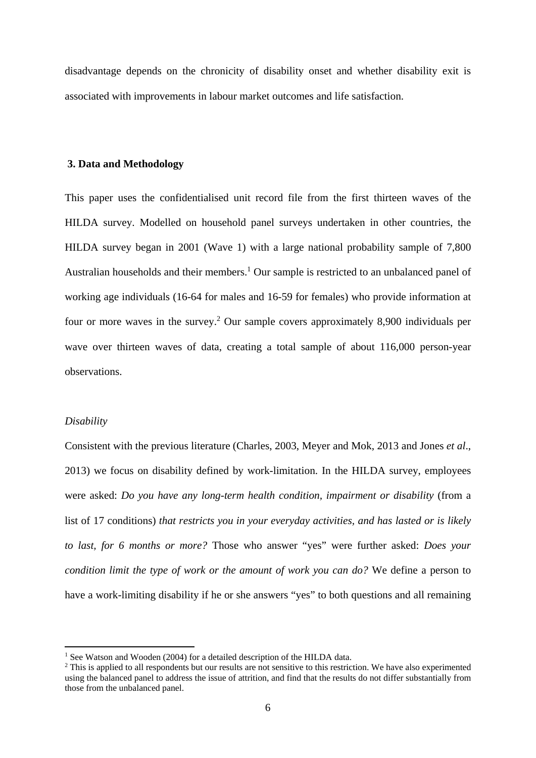disadvantage depends on the chronicity of disability onset and whether disability exit is associated with improvements in labour market outcomes and life satisfaction.

#### **3. Data and Methodology**

This paper uses the confidentialised unit record file from the first thirteen waves of the HILDA survey. Modelled on household panel surveys undertaken in other countries, the HILDA survey began in 2001 (Wave 1) with a large national probability sample of 7,800 Australian households and their members.<sup>1</sup> Our sample is restricted to an unbalanced panel of working age individuals (16-64 for males and 16-59 for females) who provide information at four or more waves in the survey.<sup>2</sup> Our sample covers approximately 8,900 individuals per wave over thirteen waves of data, creating a total sample of about 116,000 person-year observations.

#### *Disability*

Consistent with the previous literature (Charles, 2003, Meyer and Mok, 2013 and Jones *et al*., 2013) we focus on disability defined by work-limitation. In the HILDA survey, employees were asked: *Do you have any long-term health condition, impairment or disability* (from a list of 17 conditions) *that restricts you in your everyday activities, and has lasted or is likely to last, for 6 months or more?* Those who answer "yes" were further asked: *Does your condition limit the type of work or the amount of work you can do?* We define a person to have a work-limiting disability if he or she answers "yes" to both questions and all remaining

<sup>&</sup>lt;sup>1</sup> See Watson and Wooden (2004) for a detailed description of the HILDA data.

<sup>&</sup>lt;sup>2</sup> This is applied to all respondents but our results are not sensitive to this restriction. We have also experimented using the balanced panel to address the issue of attrition, and find that the results do not differ substantially from those from the unbalanced panel.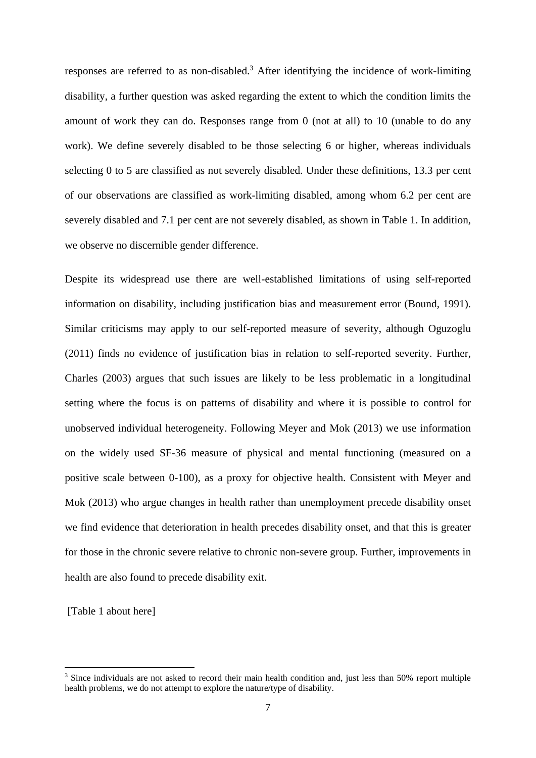responses are referred to as non-disabled.<sup>3</sup> After identifying the incidence of work-limiting disability, a further question was asked regarding the extent to which the condition limits the amount of work they can do. Responses range from 0 (not at all) to 10 (unable to do any work). We define severely disabled to be those selecting 6 or higher, whereas individuals selecting 0 to 5 are classified as not severely disabled. Under these definitions, 13.3 per cent of our observations are classified as work-limiting disabled, among whom 6.2 per cent are severely disabled and 7.1 per cent are not severely disabled, as shown in Table 1. In addition, we observe no discernible gender difference.

Despite its widespread use there are well-established limitations of using self-reported information on disability, including justification bias and measurement error (Bound, 1991). Similar criticisms may apply to our self-reported measure of severity, although Oguzoglu (2011) finds no evidence of justification bias in relation to self-reported severity. Further, Charles (2003) argues that such issues are likely to be less problematic in a longitudinal setting where the focus is on patterns of disability and where it is possible to control for unobserved individual heterogeneity. Following Meyer and Mok (2013) we use information on the widely used SF-36 measure of physical and mental functioning (measured on a positive scale between 0-100), as a proxy for objective health. Consistent with Meyer and Mok (2013) who argue changes in health rather than unemployment precede disability onset we find evidence that deterioration in health precedes disability onset, and that this is greater for those in the chronic severe relative to chronic non-severe group. Further, improvements in health are also found to precede disability exit.

[Table 1 about here]

<sup>&</sup>lt;sup>3</sup> Since individuals are not asked to record their main health condition and, just less than 50% report multiple health problems, we do not attempt to explore the nature/type of disability.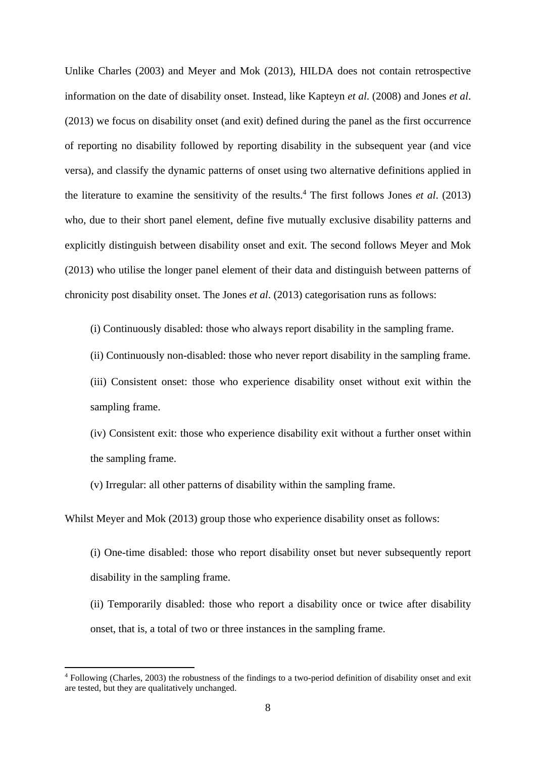Unlike Charles (2003) and Meyer and Mok (2013), HILDA does not contain retrospective information on the date of disability onset. Instead, like Kapteyn *et al*. (2008) and Jones *et al*. (2013) we focus on disability onset (and exit) defined during the panel as the first occurrence of reporting no disability followed by reporting disability in the subsequent year (and vice versa), and classify the dynamic patterns of onset using two alternative definitions applied in the literature to examine the sensitivity of the results.4 The first follows Jones *et al*. (2013) who, due to their short panel element, define five mutually exclusive disability patterns and explicitly distinguish between disability onset and exit. The second follows Meyer and Mok (2013) who utilise the longer panel element of their data and distinguish between patterns of chronicity post disability onset. The Jones *et al*. (2013) categorisation runs as follows:

(i) Continuously disabled: those who always report disability in the sampling frame.

(ii) Continuously non-disabled: those who never report disability in the sampling frame.

(iii) Consistent onset: those who experience disability onset without exit within the sampling frame.

(iv) Consistent exit: those who experience disability exit without a further onset within the sampling frame.

(v) Irregular: all other patterns of disability within the sampling frame.

Whilst Meyer and Mok (2013) group those who experience disability onset as follows:

- (i) One-time disabled: those who report disability onset but never subsequently report disability in the sampling frame.
- (ii) Temporarily disabled: those who report a disability once or twice after disability onset, that is, a total of two or three instances in the sampling frame.

<sup>&</sup>lt;sup>4</sup> Following (Charles, 2003) the robustness of the findings to a two-period definition of disability onset and exit are tested, but they are qualitatively unchanged.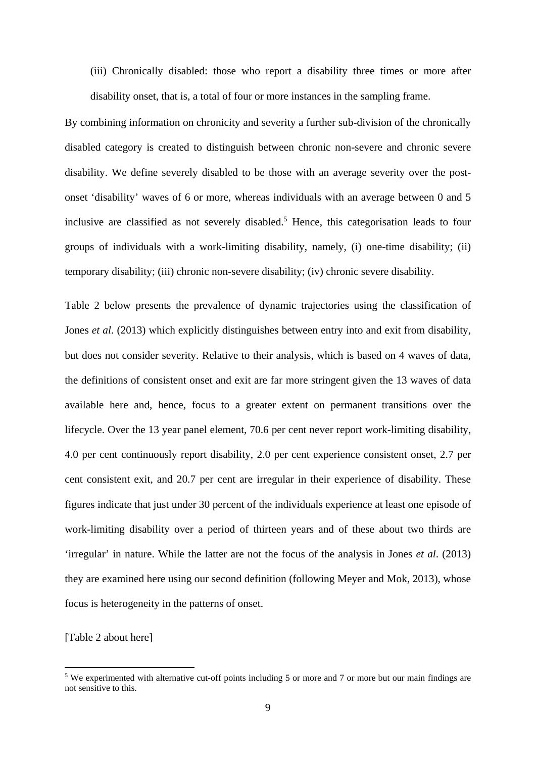(iii) Chronically disabled: those who report a disability three times or more after disability onset, that is, a total of four or more instances in the sampling frame.

By combining information on chronicity and severity a further sub-division of the chronically disabled category is created to distinguish between chronic non-severe and chronic severe disability. We define severely disabled to be those with an average severity over the postonset 'disability' waves of 6 or more, whereas individuals with an average between 0 and 5 inclusive are classified as not severely disabled.<sup>5</sup> Hence, this categorisation leads to four groups of individuals with a work-limiting disability, namely, (i) one-time disability; (ii) temporary disability; (iii) chronic non-severe disability; (iv) chronic severe disability.

Table 2 below presents the prevalence of dynamic trajectories using the classification of Jones *et al*. (2013) which explicitly distinguishes between entry into and exit from disability, but does not consider severity. Relative to their analysis, which is based on 4 waves of data, the definitions of consistent onset and exit are far more stringent given the 13 waves of data available here and, hence, focus to a greater extent on permanent transitions over the lifecycle. Over the 13 year panel element, 70.6 per cent never report work-limiting disability, 4.0 per cent continuously report disability, 2.0 per cent experience consistent onset, 2.7 per cent consistent exit, and 20.7 per cent are irregular in their experience of disability. These figures indicate that just under 30 percent of the individuals experience at least one episode of work-limiting disability over a period of thirteen years and of these about two thirds are 'irregular' in nature. While the latter are not the focus of the analysis in Jones *et al*. (2013) they are examined here using our second definition (following Meyer and Mok, 2013), whose focus is heterogeneity in the patterns of onset.

[Table 2 about here]

<sup>&</sup>lt;sup>5</sup> We experimented with alternative cut-off points including 5 or more and 7 or more but our main findings are not sensitive to this.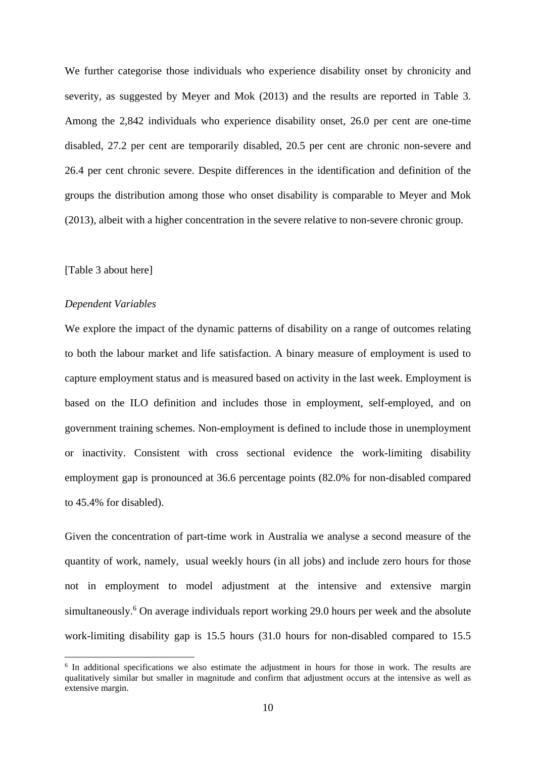We further categorise those individuals who experience disability onset by chronicity and severity, as suggested by Meyer and Mok (2013) and the results are reported in Table 3. Among the 2,842 individuals who experience disability onset, 26.0 per cent are one-time disabled, 27.2 per cent are temporarily disabled, 20.5 per cent are chronic non-severe and 26.4 per cent chronic severe. Despite differences in the identification and definition of the groups the distribution among those who onset disability is comparable to Meyer and Mok (2013), albeit with a higher concentration in the severe relative to non-severe chronic group.

#### [Table 3 about here]

#### *Dependent Variables*

We explore the impact of the dynamic patterns of disability on a range of outcomes relating to both the labour market and life satisfaction. A binary measure of employment is used to capture employment status and is measured based on activity in the last week. Employment is based on the ILO definition and includes those in employment, self-employed, and on government training schemes. Non-employment is defined to include those in unemployment or inactivity. Consistent with cross sectional evidence the work-limiting disability employment gap is pronounced at 36.6 percentage points (82.0% for non-disabled compared to 45.4% for disabled).

Given the concentration of part-time work in Australia we analyse a second measure of the quantity of work, namely, usual weekly hours (in all jobs) and include zero hours for those not in employment to model adjustment at the intensive and extensive margin simultaneously.<sup>6</sup> On average individuals report working 29.0 hours per week and the absolute work-limiting disability gap is 15.5 hours (31.0 hours for non-disabled compared to 15.5

<sup>&</sup>lt;sup>6</sup> In additional specifications we also estimate the adjustment in hours for those in work. The results are qualitatively similar but smaller in magnitude and confirm that adjustment occurs at the intensive as well as extensive margin.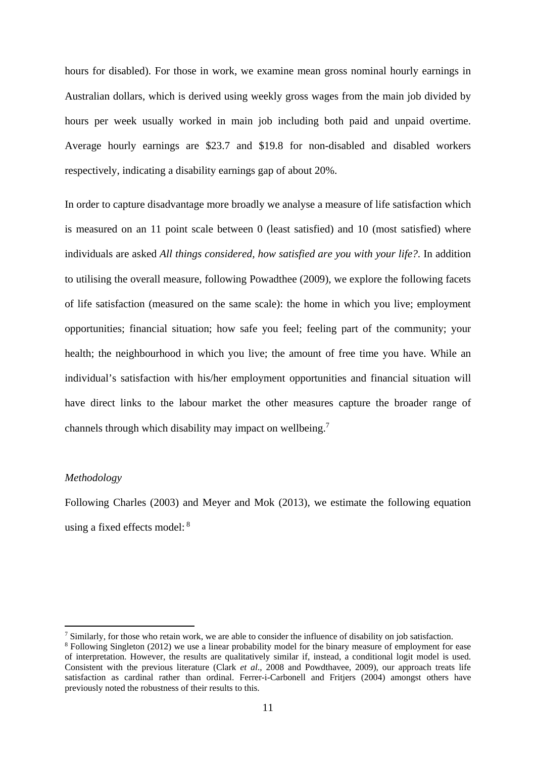hours for disabled). For those in work, we examine mean gross nominal hourly earnings in Australian dollars, which is derived using weekly gross wages from the main job divided by hours per week usually worked in main job including both paid and unpaid overtime. Average hourly earnings are \$23.7 and \$19.8 for non-disabled and disabled workers respectively, indicating a disability earnings gap of about 20%.

In order to capture disadvantage more broadly we analyse a measure of life satisfaction which is measured on an 11 point scale between 0 (least satisfied) and 10 (most satisfied) where individuals are asked *All things considered, how satisfied are you with your life?*. In addition to utilising the overall measure, following Powadthee (2009), we explore the following facets of life satisfaction (measured on the same scale): the home in which you live; employment opportunities; financial situation; how safe you feel; feeling part of the community; your health; the neighbourhood in which you live; the amount of free time you have. While an individual's satisfaction with his/her employment opportunities and financial situation will have direct links to the labour market the other measures capture the broader range of channels through which disability may impact on wellbeing.7

#### *Methodology*

Following Charles (2003) and Meyer and Mok (2013), we estimate the following equation using a fixed effects model: 8

<sup>&</sup>lt;sup>7</sup> Similarly, for those who retain work, we are able to consider the influence of disability on job satisfaction.

<sup>&</sup>lt;sup>8</sup> Following Singleton (2012) we use a linear probability model for the binary measure of employment for ease of interpretation. However, the results are qualitatively similar if, instead, a conditional logit model is used. Consistent with the previous literature (Clark *et al*., 2008 and Powdthavee, 2009), our approach treats life satisfaction as cardinal rather than ordinal. Ferrer-i-Carbonell and Fritiers (2004) amongst others have previously noted the robustness of their results to this.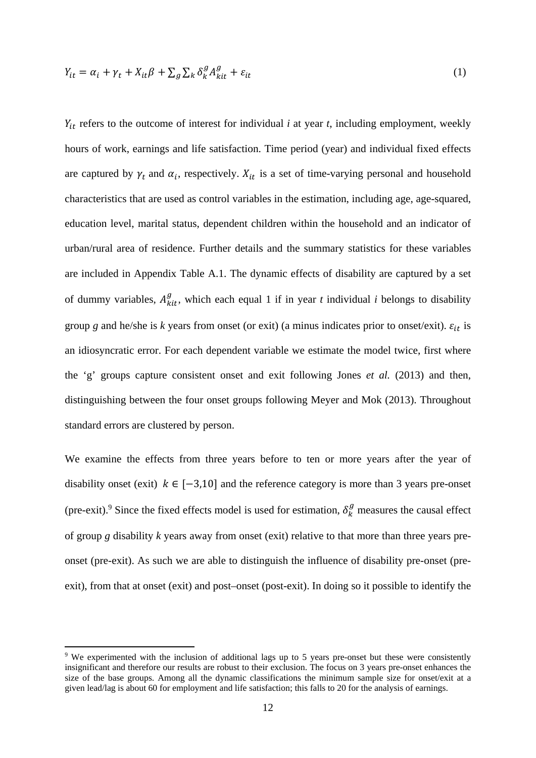$$
Y_{it} = \alpha_i + \gamma_t + X_{it}\beta + \sum_g \sum_k \delta_k^g A_{kit}^g + \varepsilon_{it}
$$
\n<sup>(1)</sup>

 $Y_{it}$  refers to the outcome of interest for individual *i* at year *t*, including employment, weekly hours of work, earnings and life satisfaction. Time period (year) and individual fixed effects are captured by  $\gamma_t$  and  $\alpha_i$ , respectively.  $X_{it}$  is a set of time-varying personal and household characteristics that are used as control variables in the estimation, including age, age-squared, education level, marital status, dependent children within the household and an indicator of urban/rural area of residence. Further details and the summary statistics for these variables are included in Appendix Table A.1. The dynamic effects of disability are captured by a set of dummy variables,  $A_{kit}^{g}$ , which each equal 1 if in year *t* individual *i* belongs to disability group *g* and he/she is *k* years from onset (or exit) (a minus indicates prior to onset/exit).  $\varepsilon_{it}$  is an idiosyncratic error. For each dependent variable we estimate the model twice, first where the 'g' groups capture consistent onset and exit following Jones *et al.* (2013) and then, distinguishing between the four onset groups following Meyer and Mok (2013). Throughout standard errors are clustered by person.

We examine the effects from three years before to ten or more years after the year of disability onset (exit)  $k \in [-3,10]$  and the reference category is more than 3 years pre-onset (pre-exit).<sup>9</sup> Since the fixed effects model is used for estimation,  $\delta_k^g$  measures the causal effect of group *g* disability *k* years away from onset (exit) relative to that more than three years preonset (pre-exit). As such we are able to distinguish the influence of disability pre-onset (preexit), from that at onset (exit) and post–onset (post-exit). In doing so it possible to identify the

<sup>&</sup>lt;sup>9</sup> We experimented with the inclusion of additional lags up to 5 years pre-onset but these were consistently insignificant and therefore our results are robust to their exclusion. The focus on 3 years pre-onset enhances the size of the base groups. Among all the dynamic classifications the minimum sample size for onset/exit at a given lead/lag is about 60 for employment and life satisfaction; this falls to 20 for the analysis of earnings.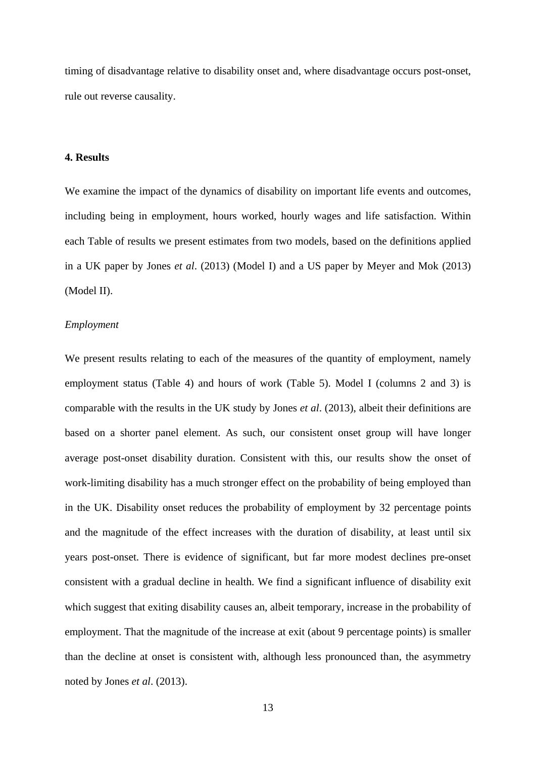timing of disadvantage relative to disability onset and, where disadvantage occurs post-onset, rule out reverse causality.

#### **4. Results**

We examine the impact of the dynamics of disability on important life events and outcomes, including being in employment, hours worked, hourly wages and life satisfaction. Within each Table of results we present estimates from two models, based on the definitions applied in a UK paper by Jones *et al*. (2013) (Model I) and a US paper by Meyer and Mok (2013) (Model II).

#### *Employment*

We present results relating to each of the measures of the quantity of employment, namely employment status (Table 4) and hours of work (Table 5). Model I (columns 2 and 3) is comparable with the results in the UK study by Jones *et al*. (2013), albeit their definitions are based on a shorter panel element. As such, our consistent onset group will have longer average post-onset disability duration. Consistent with this, our results show the onset of work-limiting disability has a much stronger effect on the probability of being employed than in the UK. Disability onset reduces the probability of employment by 32 percentage points and the magnitude of the effect increases with the duration of disability, at least until six years post-onset. There is evidence of significant, but far more modest declines pre-onset consistent with a gradual decline in health. We find a significant influence of disability exit which suggest that exiting disability causes an, albeit temporary, increase in the probability of employment. That the magnitude of the increase at exit (about 9 percentage points) is smaller than the decline at onset is consistent with, although less pronounced than, the asymmetry noted by Jones *et al*. (2013).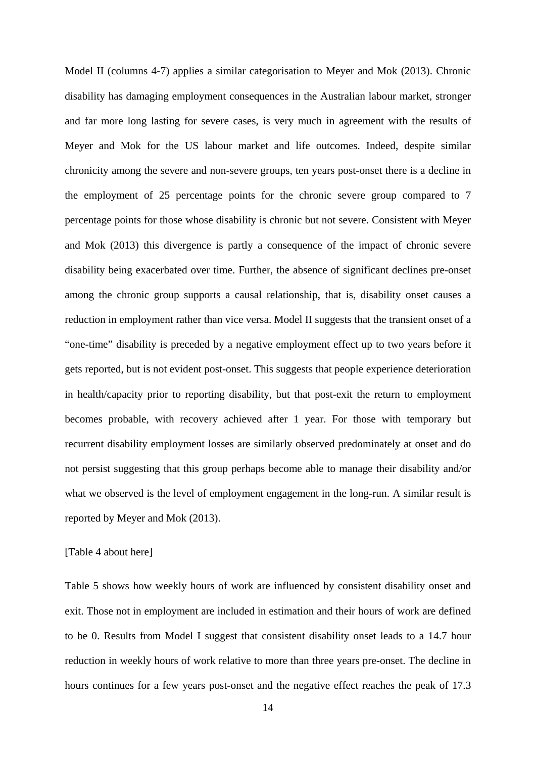Model II (columns 4-7) applies a similar categorisation to Meyer and Mok (2013). Chronic disability has damaging employment consequences in the Australian labour market, stronger and far more long lasting for severe cases, is very much in agreement with the results of Meyer and Mok for the US labour market and life outcomes. Indeed, despite similar chronicity among the severe and non-severe groups, ten years post-onset there is a decline in the employment of 25 percentage points for the chronic severe group compared to 7 percentage points for those whose disability is chronic but not severe. Consistent with Meyer and Mok (2013) this divergence is partly a consequence of the impact of chronic severe disability being exacerbated over time. Further, the absence of significant declines pre-onset among the chronic group supports a causal relationship, that is, disability onset causes a reduction in employment rather than vice versa. Model II suggests that the transient onset of a "one-time" disability is preceded by a negative employment effect up to two years before it gets reported, but is not evident post-onset. This suggests that people experience deterioration in health/capacity prior to reporting disability, but that post-exit the return to employment becomes probable, with recovery achieved after 1 year. For those with temporary but recurrent disability employment losses are similarly observed predominately at onset and do not persist suggesting that this group perhaps become able to manage their disability and/or what we observed is the level of employment engagement in the long-run. A similar result is reported by Meyer and Mok (2013).

#### [Table 4 about here]

Table 5 shows how weekly hours of work are influenced by consistent disability onset and exit. Those not in employment are included in estimation and their hours of work are defined to be 0. Results from Model I suggest that consistent disability onset leads to a 14.7 hour reduction in weekly hours of work relative to more than three years pre-onset. The decline in hours continues for a few years post-onset and the negative effect reaches the peak of 17.3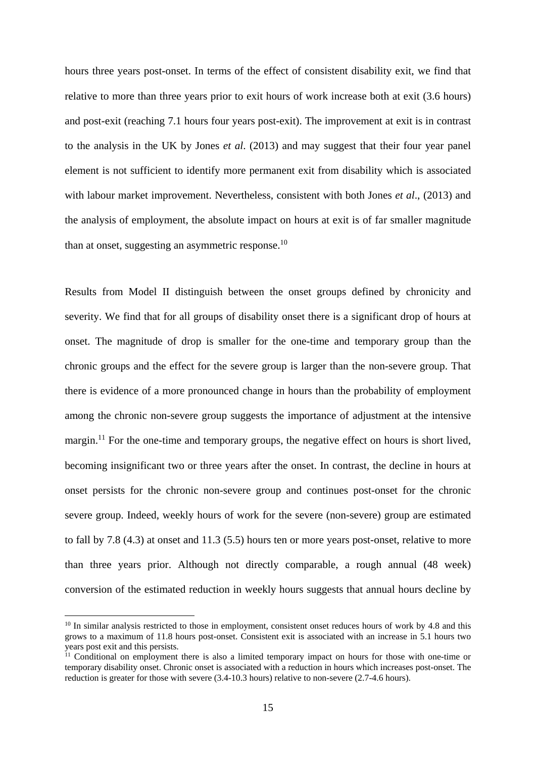hours three years post-onset. In terms of the effect of consistent disability exit, we find that relative to more than three years prior to exit hours of work increase both at exit (3.6 hours) and post-exit (reaching 7.1 hours four years post-exit). The improvement at exit is in contrast to the analysis in the UK by Jones *et al*. (2013) and may suggest that their four year panel element is not sufficient to identify more permanent exit from disability which is associated with labour market improvement. Nevertheless, consistent with both Jones *et al*., (2013) and the analysis of employment, the absolute impact on hours at exit is of far smaller magnitude than at onset, suggesting an asymmetric response.<sup>10</sup>

Results from Model II distinguish between the onset groups defined by chronicity and severity. We find that for all groups of disability onset there is a significant drop of hours at onset. The magnitude of drop is smaller for the one-time and temporary group than the chronic groups and the effect for the severe group is larger than the non-severe group. That there is evidence of a more pronounced change in hours than the probability of employment among the chronic non-severe group suggests the importance of adjustment at the intensive margin.<sup>11</sup> For the one-time and temporary groups, the negative effect on hours is short lived, becoming insignificant two or three years after the onset. In contrast, the decline in hours at onset persists for the chronic non-severe group and continues post-onset for the chronic severe group. Indeed, weekly hours of work for the severe (non-severe) group are estimated to fall by 7.8 (4.3) at onset and 11.3 (5.5) hours ten or more years post-onset, relative to more than three years prior. Although not directly comparable, a rough annual (48 week) conversion of the estimated reduction in weekly hours suggests that annual hours decline by

<sup>&</sup>lt;sup>10</sup> In similar analysis restricted to those in employment, consistent onset reduces hours of work by 4.8 and this grows to a maximum of 11.8 hours post-onset. Consistent exit is associated with an increase in 5.1 hours two years post exit and this persists.

<sup>&</sup>lt;sup>11</sup> Conditional on employment there is also a limited temporary impact on hours for those with one-time or temporary disability onset. Chronic onset is associated with a reduction in hours which increases post-onset. The reduction is greater for those with severe (3.4-10.3 hours) relative to non-severe (2.7-4.6 hours).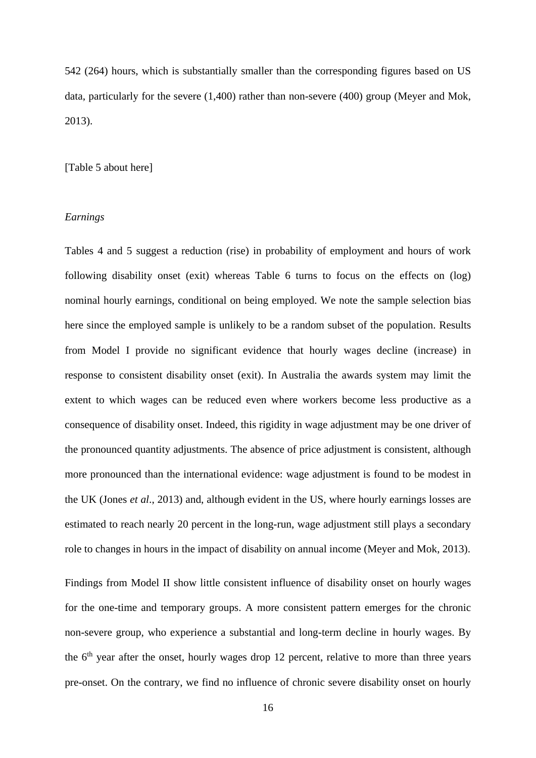542 (264) hours, which is substantially smaller than the corresponding figures based on US data, particularly for the severe (1,400) rather than non-severe (400) group (Meyer and Mok, 2013).

#### [Table 5 about here]

#### *Earnings*

Tables 4 and 5 suggest a reduction (rise) in probability of employment and hours of work following disability onset (exit) whereas Table 6 turns to focus on the effects on (log) nominal hourly earnings, conditional on being employed. We note the sample selection bias here since the employed sample is unlikely to be a random subset of the population. Results from Model I provide no significant evidence that hourly wages decline (increase) in response to consistent disability onset (exit). In Australia the awards system may limit the extent to which wages can be reduced even where workers become less productive as a consequence of disability onset. Indeed, this rigidity in wage adjustment may be one driver of the pronounced quantity adjustments. The absence of price adjustment is consistent, although more pronounced than the international evidence: wage adjustment is found to be modest in the UK (Jones *et al*., 2013) and, although evident in the US, where hourly earnings losses are estimated to reach nearly 20 percent in the long-run, wage adjustment still plays a secondary role to changes in hours in the impact of disability on annual income (Meyer and Mok, 2013).

Findings from Model II show little consistent influence of disability onset on hourly wages for the one-time and temporary groups. A more consistent pattern emerges for the chronic non-severe group, who experience a substantial and long-term decline in hourly wages. By the  $6<sup>th</sup>$  year after the onset, hourly wages drop 12 percent, relative to more than three years pre-onset. On the contrary, we find no influence of chronic severe disability onset on hourly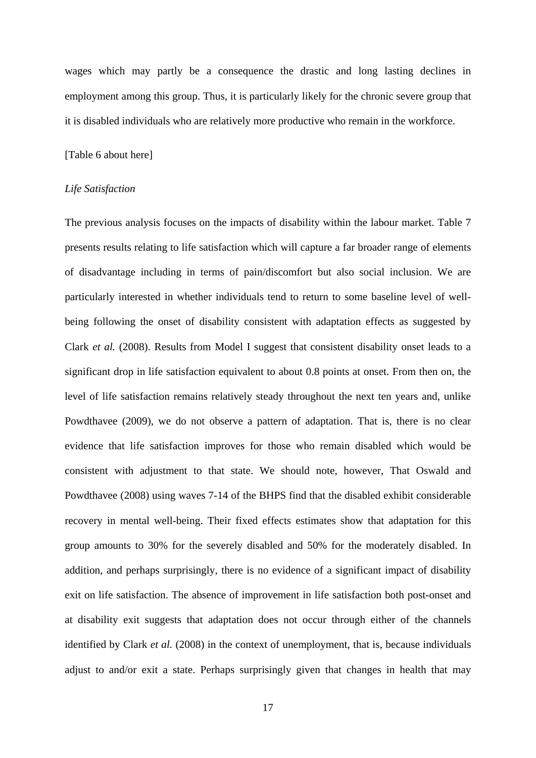wages which may partly be a consequence the drastic and long lasting declines in employment among this group. Thus, it is particularly likely for the chronic severe group that it is disabled individuals who are relatively more productive who remain in the workforce.

#### [Table 6 about here]

#### *Life Satisfaction*

The previous analysis focuses on the impacts of disability within the labour market. Table 7 presents results relating to life satisfaction which will capture a far broader range of elements of disadvantage including in terms of pain/discomfort but also social inclusion. We are particularly interested in whether individuals tend to return to some baseline level of wellbeing following the onset of disability consistent with adaptation effects as suggested by Clark *et al.* (2008). Results from Model I suggest that consistent disability onset leads to a significant drop in life satisfaction equivalent to about 0.8 points at onset. From then on, the level of life satisfaction remains relatively steady throughout the next ten years and, unlike Powdthavee (2009), we do not observe a pattern of adaptation. That is, there is no clear evidence that life satisfaction improves for those who remain disabled which would be consistent with adjustment to that state. We should note, however, That Oswald and Powdthavee (2008) using waves 7-14 of the BHPS find that the disabled exhibit considerable recovery in mental well-being. Their fixed effects estimates show that adaptation for this group amounts to 30% for the severely disabled and 50% for the moderately disabled. In addition, and perhaps surprisingly, there is no evidence of a significant impact of disability exit on life satisfaction. The absence of improvement in life satisfaction both post-onset and at disability exit suggests that adaptation does not occur through either of the channels identified by Clark *et al.* (2008) in the context of unemployment, that is, because individuals adjust to and/or exit a state. Perhaps surprisingly given that changes in health that may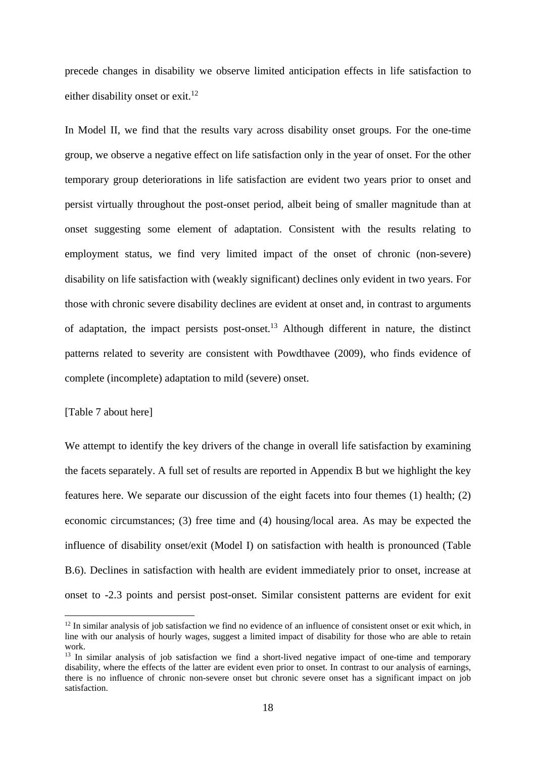precede changes in disability we observe limited anticipation effects in life satisfaction to either disability onset or exit.<sup>12</sup>

In Model II, we find that the results vary across disability onset groups. For the one-time group, we observe a negative effect on life satisfaction only in the year of onset. For the other temporary group deteriorations in life satisfaction are evident two years prior to onset and persist virtually throughout the post-onset period, albeit being of smaller magnitude than at onset suggesting some element of adaptation. Consistent with the results relating to employment status, we find very limited impact of the onset of chronic (non-severe) disability on life satisfaction with (weakly significant) declines only evident in two years. For those with chronic severe disability declines are evident at onset and, in contrast to arguments of adaptation, the impact persists post-onset.13 Although different in nature, the distinct patterns related to severity are consistent with Powdthavee (2009), who finds evidence of complete (incomplete) adaptation to mild (severe) onset.

#### [Table 7 about here]

We attempt to identify the key drivers of the change in overall life satisfaction by examining the facets separately. A full set of results are reported in Appendix B but we highlight the key features here. We separate our discussion of the eight facets into four themes (1) health; (2) economic circumstances; (3) free time and (4) housing/local area. As may be expected the influence of disability onset/exit (Model I) on satisfaction with health is pronounced (Table B.6). Declines in satisfaction with health are evident immediately prior to onset, increase at onset to -2.3 points and persist post-onset. Similar consistent patterns are evident for exit

 $12$  In similar analysis of job satisfaction we find no evidence of an influence of consistent onset or exit which, in line with our analysis of hourly wages, suggest a limited impact of disability for those who are able to retain work.

<sup>&</sup>lt;sup>13</sup> In similar analysis of job satisfaction we find a short-lived negative impact of one-time and temporary disability, where the effects of the latter are evident even prior to onset. In contrast to our analysis of earnings, there is no influence of chronic non-severe onset but chronic severe onset has a significant impact on job satisfaction.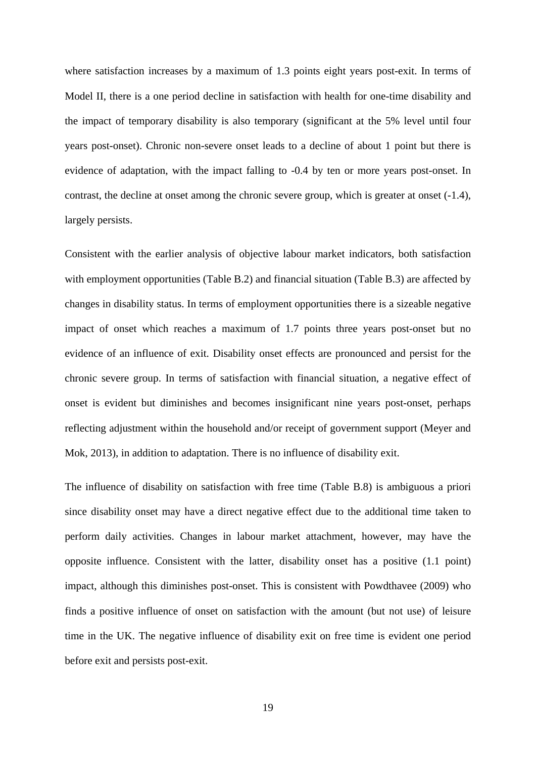where satisfaction increases by a maximum of 1.3 points eight years post-exit. In terms of Model II, there is a one period decline in satisfaction with health for one-time disability and the impact of temporary disability is also temporary (significant at the 5% level until four years post-onset). Chronic non-severe onset leads to a decline of about 1 point but there is evidence of adaptation, with the impact falling to -0.4 by ten or more years post-onset. In contrast, the decline at onset among the chronic severe group, which is greater at onset (-1.4), largely persists.

Consistent with the earlier analysis of objective labour market indicators, both satisfaction with employment opportunities (Table B.2) and financial situation (Table B.3) are affected by changes in disability status. In terms of employment opportunities there is a sizeable negative impact of onset which reaches a maximum of 1.7 points three years post-onset but no evidence of an influence of exit. Disability onset effects are pronounced and persist for the chronic severe group. In terms of satisfaction with financial situation, a negative effect of onset is evident but diminishes and becomes insignificant nine years post-onset, perhaps reflecting adjustment within the household and/or receipt of government support (Meyer and Mok, 2013), in addition to adaptation. There is no influence of disability exit.

The influence of disability on satisfaction with free time (Table B.8) is ambiguous a priori since disability onset may have a direct negative effect due to the additional time taken to perform daily activities. Changes in labour market attachment, however, may have the opposite influence. Consistent with the latter, disability onset has a positive (1.1 point) impact, although this diminishes post-onset. This is consistent with Powdthavee (2009) who finds a positive influence of onset on satisfaction with the amount (but not use) of leisure time in the UK. The negative influence of disability exit on free time is evident one period before exit and persists post-exit.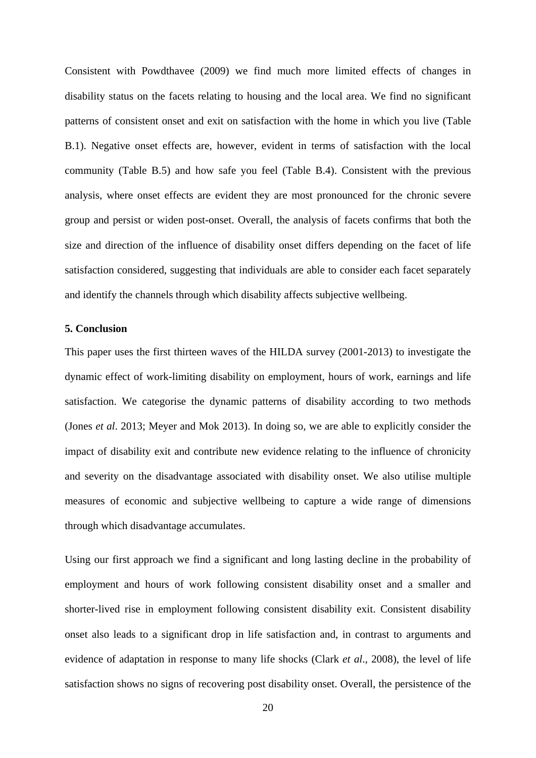Consistent with Powdthavee (2009) we find much more limited effects of changes in disability status on the facets relating to housing and the local area. We find no significant patterns of consistent onset and exit on satisfaction with the home in which you live (Table B.1). Negative onset effects are, however, evident in terms of satisfaction with the local community (Table B.5) and how safe you feel (Table B.4). Consistent with the previous analysis, where onset effects are evident they are most pronounced for the chronic severe group and persist or widen post-onset. Overall, the analysis of facets confirms that both the size and direction of the influence of disability onset differs depending on the facet of life satisfaction considered, suggesting that individuals are able to consider each facet separately and identify the channels through which disability affects subjective wellbeing.

#### **5. Conclusion**

This paper uses the first thirteen waves of the HILDA survey (2001-2013) to investigate the dynamic effect of work-limiting disability on employment, hours of work, earnings and life satisfaction. We categorise the dynamic patterns of disability according to two methods (Jones *et al*. 2013; Meyer and Mok 2013). In doing so, we are able to explicitly consider the impact of disability exit and contribute new evidence relating to the influence of chronicity and severity on the disadvantage associated with disability onset. We also utilise multiple measures of economic and subjective wellbeing to capture a wide range of dimensions through which disadvantage accumulates.

Using our first approach we find a significant and long lasting decline in the probability of employment and hours of work following consistent disability onset and a smaller and shorter-lived rise in employment following consistent disability exit. Consistent disability onset also leads to a significant drop in life satisfaction and, in contrast to arguments and evidence of adaptation in response to many life shocks (Clark *et al*., 2008), the level of life satisfaction shows no signs of recovering post disability onset. Overall, the persistence of the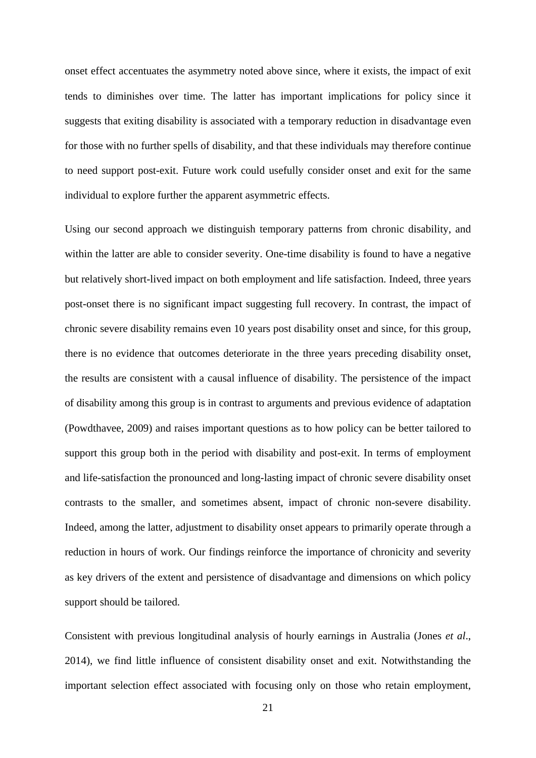onset effect accentuates the asymmetry noted above since, where it exists, the impact of exit tends to diminishes over time. The latter has important implications for policy since it suggests that exiting disability is associated with a temporary reduction in disadvantage even for those with no further spells of disability, and that these individuals may therefore continue to need support post-exit. Future work could usefully consider onset and exit for the same individual to explore further the apparent asymmetric effects.

Using our second approach we distinguish temporary patterns from chronic disability, and within the latter are able to consider severity. One-time disability is found to have a negative but relatively short-lived impact on both employment and life satisfaction. Indeed, three years post-onset there is no significant impact suggesting full recovery. In contrast, the impact of chronic severe disability remains even 10 years post disability onset and since, for this group, there is no evidence that outcomes deteriorate in the three years preceding disability onset, the results are consistent with a causal influence of disability. The persistence of the impact of disability among this group is in contrast to arguments and previous evidence of adaptation (Powdthavee, 2009) and raises important questions as to how policy can be better tailored to support this group both in the period with disability and post-exit. In terms of employment and life-satisfaction the pronounced and long-lasting impact of chronic severe disability onset contrasts to the smaller, and sometimes absent, impact of chronic non-severe disability. Indeed, among the latter, adjustment to disability onset appears to primarily operate through a reduction in hours of work. Our findings reinforce the importance of chronicity and severity as key drivers of the extent and persistence of disadvantage and dimensions on which policy support should be tailored.

Consistent with previous longitudinal analysis of hourly earnings in Australia (Jones *et al*., 2014), we find little influence of consistent disability onset and exit. Notwithstanding the important selection effect associated with focusing only on those who retain employment,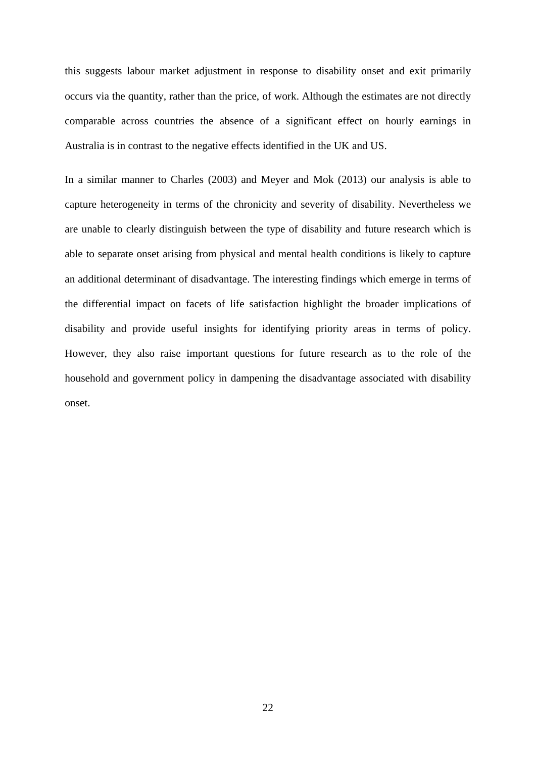this suggests labour market adjustment in response to disability onset and exit primarily occurs via the quantity, rather than the price, of work. Although the estimates are not directly comparable across countries the absence of a significant effect on hourly earnings in Australia is in contrast to the negative effects identified in the UK and US.

In a similar manner to Charles (2003) and Meyer and Mok (2013) our analysis is able to capture heterogeneity in terms of the chronicity and severity of disability. Nevertheless we are unable to clearly distinguish between the type of disability and future research which is able to separate onset arising from physical and mental health conditions is likely to capture an additional determinant of disadvantage. The interesting findings which emerge in terms of the differential impact on facets of life satisfaction highlight the broader implications of disability and provide useful insights for identifying priority areas in terms of policy. However, they also raise important questions for future research as to the role of the household and government policy in dampening the disadvantage associated with disability onset.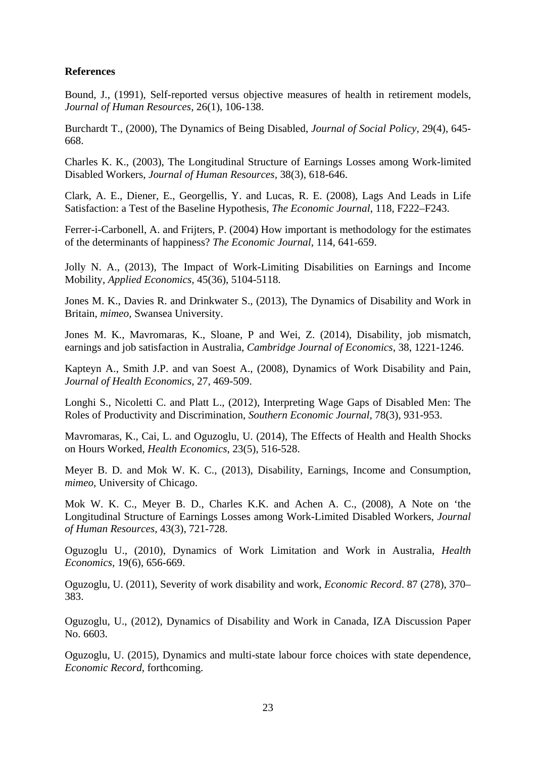#### **References**

Bound, J., (1991), Self-reported versus objective measures of health in retirement models, *Journal of Human Resources,* 26(1), 106-138.

Burchardt T., (2000), The Dynamics of Being Disabled, *Journal of Social Policy,* 29(4), 645- 668.

Charles K. K., (2003), The Longitudinal Structure of Earnings Losses among Work-limited Disabled Workers, *Journal of Human Resources,* 38(3), 618-646.

Clark, A. E., Diener, E., Georgellis, Y. and Lucas, R. E. (2008), Lags And Leads in Life Satisfaction: a Test of the Baseline Hypothesis, *The Economic Journal*, 118, F222–F243.

Ferrer-i-Carbonell, A. and Frijters, P. (2004) How important is methodology for the estimates of the determinants of happiness? *The Economic Journal*, 114, 641-659.

Jolly N. A., (2013), The Impact of Work-Limiting Disabilities on Earnings and Income Mobility, *Applied Economics,* 45(36), 5104-5118.

Jones M. K., Davies R. and Drinkwater S., (2013), The Dynamics of Disability and Work in Britain, *mimeo,* Swansea University.

Jones M. K., Mavromaras, K., Sloane, P and Wei, Z. (2014), Disability, job mismatch, earnings and job satisfaction in Australia, *Cambridge Journal of Economics*, 38, 1221-1246.

Kapteyn A., Smith J.P. and van Soest A., (2008), Dynamics of Work Disability and Pain, *Journal of Health Economics,* 27, 469-509.

Longhi S., Nicoletti C. and Platt L., (2012), Interpreting Wage Gaps of Disabled Men: The Roles of Productivity and Discrimination, *Southern Economic Journal,* 78(3), 931-953.

Mavromaras, K., Cai, L. and Oguzoglu, U. (2014), The Effects of Health and Health Shocks on Hours Worked, *Health Economics*, 23(5), 516-528.

Meyer B. D. and Mok W. K. C., (2013), Disability, Earnings, Income and Consumption, *mimeo,* University of Chicago.

Mok W. K. C., Meyer B. D., Charles K.K. and Achen A. C., (2008), A Note on 'the Longitudinal Structure of Earnings Losses among Work-Limited Disabled Workers, *Journal of Human Resources,* 43(3), 721-728.

Oguzoglu U., (2010), Dynamics of Work Limitation and Work in Australia, *Health Economics,* 19(6), 656-669.

Oguzoglu, U. (2011), Severity of work disability and work, *Economic Record*. 87 (278), 370– 383.

Oguzoglu, U., (2012), Dynamics of Disability and Work in Canada, IZA Discussion Paper No. 6603.

Oguzoglu, U. (2015), Dynamics and multi-state labour force choices with state dependence, *Economic Record*, forthcoming.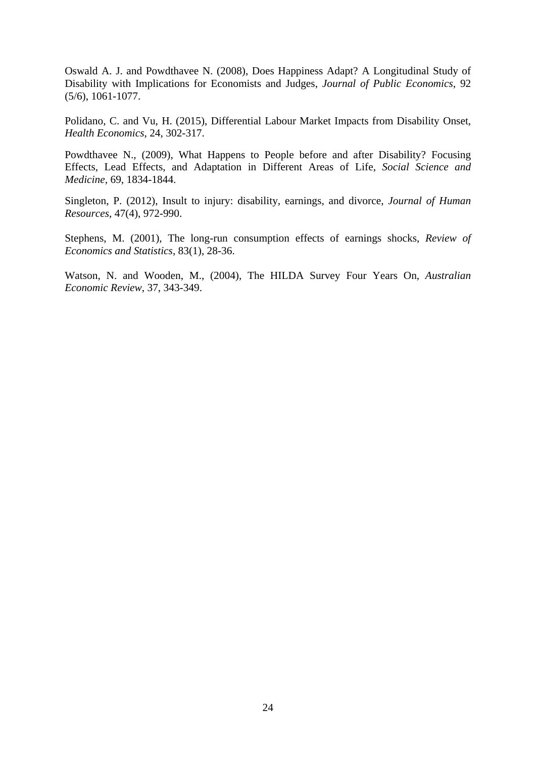Oswald A. J. and Powdthavee N. (2008), Does Happiness Adapt? A Longitudinal Study of Disability with Implications for Economists and Judges, *Journal of Public Economics,* 92 (5/6), 1061-1077.

Polidano, C. and Vu, H. (2015), Differential Labour Market Impacts from Disability Onset, *Health Economics*, 24, 302-317.

Powdthavee N., (2009), What Happens to People before and after Disability? Focusing Effects, Lead Effects, and Adaptation in Different Areas of Life, *Social Science and Medicine,* 69, 1834-1844.

Singleton, P. (2012), Insult to injury: disability, earnings, and divorce, *Journal of Human Resources*, 47(4), 972-990.

Stephens, M. (2001), The long-run consumption effects of earnings shocks, *Review of Economics and Statistics*, 83(1), 28-36.

Watson, N. and Wooden, M., (2004), The HILDA Survey Four Years On, *Australian Economic Review*, 37, 343-349.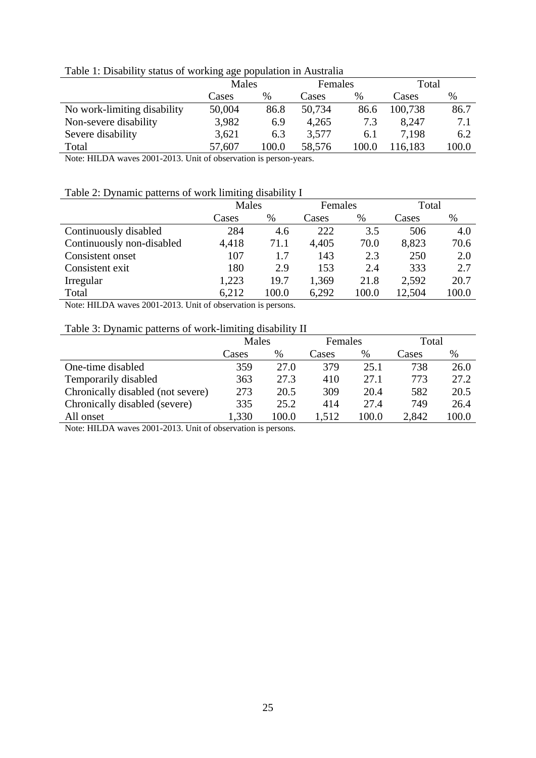|  |  |  | Table 1: Disability status of working age population in Australia |
|--|--|--|-------------------------------------------------------------------|
|--|--|--|-------------------------------------------------------------------|

|                             | Males  |       | <b>Females</b> |       | Total   |       |
|-----------------------------|--------|-------|----------------|-------|---------|-------|
|                             | Cases  | $\%$  | Cases          | $\%$  | Cases   | %     |
| No work-limiting disability | 50,004 | 86.8  | 50,734         | 86.6  | 100,738 | 86.7  |
| Non-severe disability       | 3,982  | 6.9   | 4,265          | 7.3   | 8.247   | 7.1   |
| Severe disability           | 3,621  | 6.3   | 3,577          | 6.1   | 7.198   | 6.2   |
| Total                       | 57,607 | 100.0 | 58,576         | 100.0 | 16,183  | 100.0 |
|                             |        |       |                |       |         |       |

Note: HILDA waves 2001-2013. Unit of observation is person-years.

#### Table 2: Dynamic patterns of work limiting disability I

|                           | Males |       | Females |       | Total  |       |
|---------------------------|-------|-------|---------|-------|--------|-------|
|                           | Cases | $\%$  | Cases   | $\%$  | Cases  | $\%$  |
| Continuously disabled     | 284   | 4.6   | 222     | 3.5   | 506    | 4.0   |
| Continuously non-disabled | 4,418 | 71.1  | 4,405   | 70.0  | 8,823  | 70.6  |
| Consistent onset          | 107   | 1.7   | 143     | 2.3   | 250    | 2.0   |
| Consistent exit           | 180   | 2.9   | 153     | 2.4   | 333    | 2.7   |
| Irregular                 | 1,223 | 19.7  | 1,369   | 21.8  | 2,592  | 20.7  |
| Total                     | 6,212 | 100.0 | 6,292   | 100.0 | 12,504 | 100.0 |

Note: HILDA waves 2001-2013. Unit of observation is persons.

#### Table 3: Dynamic patterns of work-limiting disability II

|                                   | Males |       | Females |       | Total |       |
|-----------------------------------|-------|-------|---------|-------|-------|-------|
|                                   | Cases | %     | Cases   | $\%$  | Cases | $\%$  |
| One-time disabled                 | 359   | 27.0  | 379     | 25.1  | 738   | 26.0  |
| Temporarily disabled              | 363   | 27.3  | 410     | 27.1  | 773   | 27.2  |
| Chronically disabled (not severe) | 273   | 20.5  | 309     | 20.4  | 582   | 20.5  |
| Chronically disabled (severe)     | 335   | 25.2  | 414     | 27.4  | 749   | 26.4  |
| All onset                         | 1,330 | 100.0 | 1,512   | 100.0 | 2,842 | 100.0 |

Note: HILDA waves 2001-2013. Unit of observation is persons.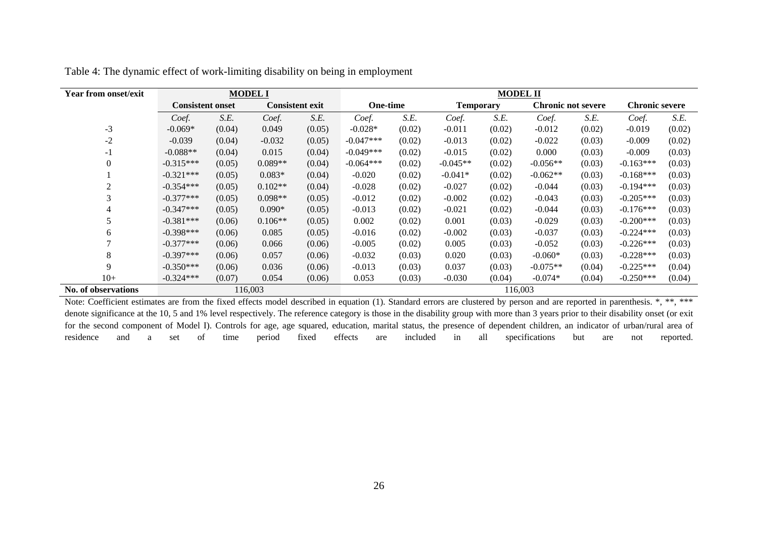| <b>Year from onset/exit</b> | <b>MODEL I</b>          |        |                        |        |             |        |                  | <b>MODEL II</b> |                           |        |                       |        |
|-----------------------------|-------------------------|--------|------------------------|--------|-------------|--------|------------------|-----------------|---------------------------|--------|-----------------------|--------|
|                             | <b>Consistent onset</b> |        | <b>Consistent exit</b> |        | One-time    |        | <b>Temporary</b> |                 | <b>Chronic not severe</b> |        | <b>Chronic severe</b> |        |
|                             | Coef.                   | S.E.   | Coef.                  | S.E.   | Coef.       | S.E.   | Coef.            | S.E.            | Coef.                     | S.E.   | Coef.                 | S.E.   |
| $-3$                        | $-0.069*$               | (0.04) | 0.049                  | (0.05) | $-0.028*$   | (0.02) | $-0.011$         | (0.02)          | $-0.012$                  | (0.02) | $-0.019$              | (0.02) |
| $-2$                        | $-0.039$                | (0.04) | $-0.032$               | (0.05) | $-0.047***$ | (0.02) | $-0.013$         | (0.02)          | $-0.022$                  | (0.03) | $-0.009$              | (0.02) |
| $-1$                        | $-0.088**$              | (0.04) | 0.015                  | (0.04) | $-0.049***$ | (0.02) | $-0.015$         | (0.02)          | 0.000                     | (0.03) | $-0.009$              | (0.03) |
| $\Omega$                    | $-0.315***$             | (0.05) | $0.089**$              | (0.04) | $-0.064***$ | (0.02) | $-0.045**$       | (0.02)          | $-0.056**$                | (0.03) | $-0.163***$           | (0.03) |
|                             | $-0.321***$             | (0.05) | $0.083*$               | (0.04) | $-0.020$    | (0.02) | $-0.041*$        | (0.02)          | $-0.062**$                | (0.03) | $-0.168***$           | (0.03) |
| 2                           | $-0.354***$             | (0.05) | $0.102**$              | (0.04) | $-0.028$    | (0.02) | $-0.027$         | (0.02)          | $-0.044$                  | (0.03) | $-0.194***$           | (0.03) |
| 3                           | $-0.377***$             | (0.05) | $0.098**$              | (0.05) | $-0.012$    | (0.02) | $-0.002$         | (0.02)          | $-0.043$                  | (0.03) | $-0.205***$           | (0.03) |
| 4                           | $-0.347***$             | (0.05) | $0.090*$               | (0.05) | $-0.013$    | (0.02) | $-0.021$         | (0.02)          | $-0.044$                  | (0.03) | $-0.176***$           | (0.03) |
|                             | $-0.381***$             | (0.06) | $0.106**$              | (0.05) | 0.002       | (0.02) | 0.001            | (0.03)          | $-0.029$                  | (0.03) | $-0.200***$           | (0.03) |
| 6                           | $-0.398***$             | (0.06) | 0.085                  | (0.05) | $-0.016$    | (0.02) | $-0.002$         | (0.03)          | $-0.037$                  | (0.03) | $-0.224***$           | (0.03) |
|                             | $-0.377***$             | (0.06) | 0.066                  | (0.06) | $-0.005$    | (0.02) | 0.005            | (0.03)          | $-0.052$                  | (0.03) | $-0.226***$           | (0.03) |
| 8                           | $-0.397***$             | (0.06) | 0.057                  | (0.06) | $-0.032$    | (0.03) | 0.020            | (0.03)          | $-0.060*$                 | (0.03) | $-0.228***$           | (0.03) |
| 9                           | $-0.350***$             | (0.06) | 0.036                  | (0.06) | $-0.013$    | (0.03) | 0.037            | (0.03)          | $-0.075**$                | (0.04) | $-0.225***$           | (0.04) |
| $10+$                       | $-0.324***$             | (0.07) | 0.054                  | (0.06) | 0.053       | (0.03) | $-0.030$         | (0.04)          | $-0.074*$                 | (0.04) | $-0.250***$           | (0.04) |
| No. of observations         |                         |        | 116,003                |        |             |        |                  | 116,003         |                           |        |                       |        |

|  |  |  | Table 4: The dynamic effect of work-limiting disability on being in employment |  |  |
|--|--|--|--------------------------------------------------------------------------------|--|--|
|  |  |  |                                                                                |  |  |
|  |  |  |                                                                                |  |  |
|  |  |  |                                                                                |  |  |

Note: Coefficient estimates are from the fixed effects model described in equation (1). Standard errors are clustered by person and are reported in parenthesis. \*, \*\*, \*\*\* denote significance at the 10, 5 and 1% level respectively. The reference category is those in the disability group with more than 3 years prior to their disability onset (or exit for the second component of Model I). Controls for age, age squared, education, marital status, the presence of dependent children, an indicator of urban/rural area of residence and a set of time period fixed effects are included in all specifications but are not reported.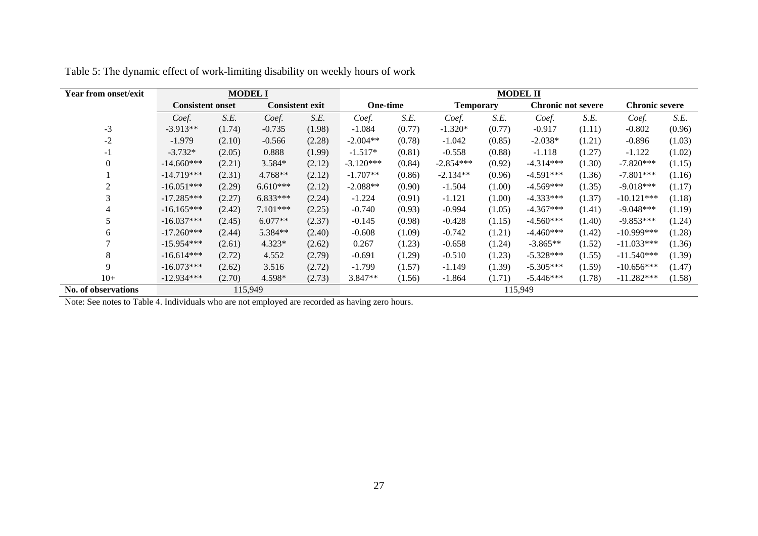| <b>Year from onset/exit</b> | <b>MODEL I</b>          |        |                        |        |                 |        |                  |        | <b>MODEL II</b>           |        |                       |        |
|-----------------------------|-------------------------|--------|------------------------|--------|-----------------|--------|------------------|--------|---------------------------|--------|-----------------------|--------|
|                             | <b>Consistent onset</b> |        | <b>Consistent exit</b> |        | <b>One-time</b> |        | <b>Temporary</b> |        | <b>Chronic not severe</b> |        | <b>Chronic severe</b> |        |
|                             | Coef.                   | S.E.   | Coef.                  | S.E.   | Coef.           | S.E.   | Coef.            | S.E.   | Coef.                     | S.E.   | Coef.                 | S.E.   |
| $-3$                        | $-3.913**$              | (1.74) | $-0.735$               | (1.98) | $-1.084$        | (0.77) | $-1.320*$        | (0.77) | $-0.917$                  | (1.11) | $-0.802$              | (0.96) |
| $-2$                        | $-1.979$                | (2.10) | $-0.566$               | (2.28) | $-2.004**$      | (0.78) | $-1.042$         | (0.85) | $-2.038*$                 | (1.21) | $-0.896$              | (1.03) |
| $-1$                        | $-3.732*$               | (2.05) | 0.888                  | (1.99) | $-1.517*$       | (0.81) | $-0.558$         | (0.88) | $-1.118$                  | (1.27) | $-1.122$              | (1.02) |
| $\mathbf{0}$                | $-14.660***$            | (2.21) | 3.584*                 | (2.12) | $-3.120***$     | (0.84) | $-2.854***$      | (0.92) | $-4.314***$               | (1.30) | $-7.820***$           | (1.15) |
|                             | $-14.719***$            | (2.31) | 4.768**                | (2.12) | $-1.707**$      | (0.86) | $-2.134**$       | (0.96) | $-4.591***$               | (1.36) | $-7.801***$           | (1.16) |
| 2                           | $-16.051***$            | (2.29) | $6.610***$             | (2.12) | $-2.088**$      | (0.90) | $-1.504$         | (1.00) | $-4.569***$               | (1.35) | $-9.018***$           | (1.17) |
| 3                           | $-17.285***$            | (2.27) | $6.833***$             | (2.24) | $-1.224$        | (0.91) | $-1.121$         | (1.00) | $-4.333***$               | (1.37) | $-10.121***$          | (1.18) |
| 4                           | $-16.165***$            | (2.42) | 7.101***               | (2.25) | $-0.740$        | (0.93) | $-0.994$         | (1.05) | $-4.367***$               | (1.41) | $-9.048***$           | (1.19) |
|                             | $-16.037***$            | (2.45) | $6.077**$              | (2.37) | $-0.145$        | (0.98) | $-0.428$         | (1.15) | $-4.560***$               | (1.40) | $-9.853***$           | (1.24) |
| 6                           | $-17.260***$            | (2.44) | 5.384**                | (2.40) | $-0.608$        | (1.09) | $-0.742$         | (1.21) | $-4.460***$               | (1.42) | $-10.999***$          | (1.28) |
|                             | $-15.954***$            | (2.61) | $4.323*$               | (2.62) | 0.267           | (1.23) | $-0.658$         | (1.24) | $-3.865**$                | (1.52) | $-11.033***$          | (1.36) |
| 8                           | $-16.614***$            | (2.72) | 4.552                  | (2.79) | $-0.691$        | (1.29) | $-0.510$         | (1.23) | $-5.328***$               | (1.55) | $-11.540***$          | (1.39) |
| 9                           | $-16.073***$            | (2.62) | 3.516                  | (2.72) | $-1.799$        | (1.57) | $-1.149$         | (1.39) | $-5.305***$               | (1.59) | $-10.656***$          | (1.47) |
| $10+$                       | $-12.934***$            | (2.70) | 4.598*                 | (2.73) | $3.847**$       | (1.56) | $-1.864$         | (1.71) | $-5.446***$               | (1.78) | $-11.282***$          | (1.58) |
| No. of observations         |                         |        | 115,949                |        |                 |        |                  |        | 115,949                   |        |                       |        |

| Table 5: The dynamic effect of work-limiting disability on weekly hours of work |  |  |  |  |
|---------------------------------------------------------------------------------|--|--|--|--|
|                                                                                 |  |  |  |  |

Note: See notes to Table 4. Individuals who are not employed are recorded as having zero hours.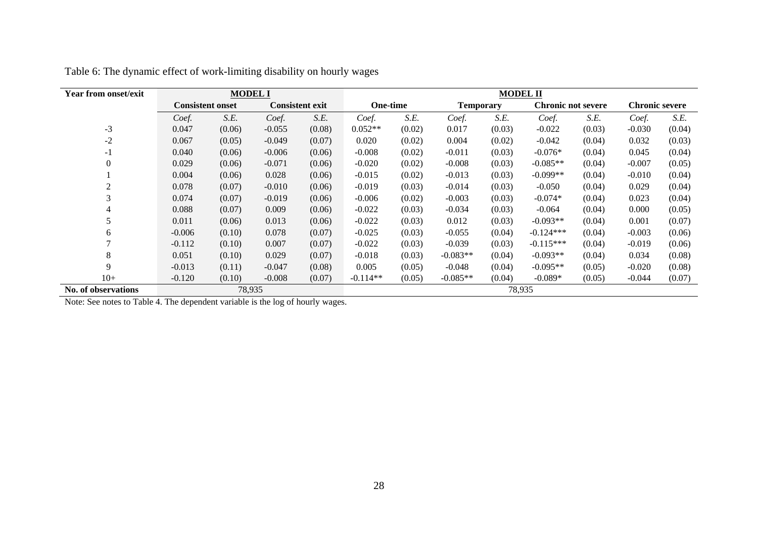| <b>Year from onset/exit</b> |                         | <b>MODEL I</b> |          |                        |                 |        |                  | <b>MODEL II</b> |                           |        |                       |        |
|-----------------------------|-------------------------|----------------|----------|------------------------|-----------------|--------|------------------|-----------------|---------------------------|--------|-----------------------|--------|
|                             | <b>Consistent onset</b> |                |          | <b>Consistent exit</b> | <b>One-time</b> |        | <b>Temporary</b> |                 | <b>Chronic not severe</b> |        | <b>Chronic severe</b> |        |
|                             | Coef.                   | S.E.           | Coef.    | S.E.                   | Coef.           | S.E.   | Coef.            | S.E.            | Coef.                     | S.E.   | Coef.                 | S.E.   |
| $-3$                        | 0.047                   | (0.06)         | $-0.055$ | (0.08)                 | $0.052**$       | (0.02) | 0.017            | (0.03)          | $-0.022$                  | (0.03) | $-0.030$              | (0.04) |
| $-2$                        | 0.067                   | (0.05)         | $-0.049$ | (0.07)                 | 0.020           | (0.02) | 0.004            | (0.02)          | $-0.042$                  | (0.04) | 0.032                 | (0.03) |
| $-1$                        | 0.040                   | (0.06)         | $-0.006$ | (0.06)                 | $-0.008$        | (0.02) | $-0.011$         | (0.03)          | $-0.076*$                 | (0.04) | 0.045                 | (0.04) |
| $\theta$                    | 0.029                   | (0.06)         | $-0.071$ | (0.06)                 | $-0.020$        | (0.02) | $-0.008$         | (0.03)          | $-0.085**$                | (0.04) | $-0.007$              | (0.05) |
|                             | 0.004                   | (0.06)         | 0.028    | (0.06)                 | $-0.015$        | (0.02) | $-0.013$         | (0.03)          | $-0.099**$                | (0.04) | $-0.010$              | (0.04) |
| $\overline{c}$              | 0.078                   | (0.07)         | $-0.010$ | (0.06)                 | $-0.019$        | (0.03) | $-0.014$         | (0.03)          | $-0.050$                  | (0.04) | 0.029                 | (0.04) |
| 3                           | 0.074                   | (0.07)         | $-0.019$ | (0.06)                 | $-0.006$        | (0.02) | $-0.003$         | (0.03)          | $-0.074*$                 | (0.04) | 0.023                 | (0.04) |
| 4                           | 0.088                   | (0.07)         | 0.009    | (0.06)                 | $-0.022$        | (0.03) | $-0.034$         | (0.03)          | $-0.064$                  | (0.04) | 0.000                 | (0.05) |
|                             | 0.011                   | (0.06)         | 0.013    | (0.06)                 | $-0.022$        | (0.03) | 0.012            | (0.03)          | $-0.093**$                | (0.04) | 0.001                 | (0.07) |
| 6                           | $-0.006$                | (0.10)         | 0.078    | (0.07)                 | $-0.025$        | (0.03) | $-0.055$         | (0.04)          | $-0.124***$               | (0.04) | $-0.003$              | (0.06) |
| $\mathbf{r}$                | $-0.112$                | (0.10)         | 0.007    | (0.07)                 | $-0.022$        | (0.03) | $-0.039$         | (0.03)          | $-0.115***$               | (0.04) | $-0.019$              | (0.06) |
| 8                           | 0.051                   | (0.10)         | 0.029    | (0.07)                 | $-0.018$        | (0.03) | $-0.083**$       | (0.04)          | $-0.093**$                | (0.04) | 0.034                 | (0.08) |
| 9                           | $-0.013$                | (0.11)         | $-0.047$ | (0.08)                 | 0.005           | (0.05) | $-0.048$         | (0.04)          | $-0.095**$                | (0.05) | $-0.020$              | (0.08) |
| $10+$                       | $-0.120$                | (0.10)         | $-0.008$ | (0.07)                 | $-0.114**$      | (0.05) | $-0.085**$       | (0.04)          | $-0.089*$                 | (0.05) | $-0.044$              | (0.07) |
| <b>No. of observations</b>  |                         | 78,935         |          |                        |                 |        |                  |                 | 78,935                    |        |                       |        |

|  |  | Table 6: The dynamic effect of work-limiting disability on hourly wages |
|--|--|-------------------------------------------------------------------------|
|  |  |                                                                         |

Note: See notes to Table 4. The dependent variable is the log of hourly wages.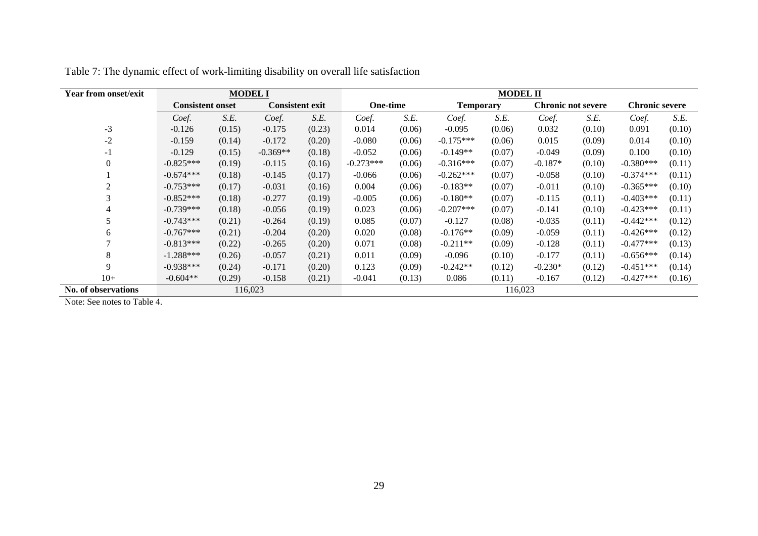| <b>Year from onset/exit</b> | <b>MODEL I</b>          |        |                        |        |                 |        |                  | <b>MODEL II</b> |                           |        |             |                       |  |
|-----------------------------|-------------------------|--------|------------------------|--------|-----------------|--------|------------------|-----------------|---------------------------|--------|-------------|-----------------------|--|
|                             | <b>Consistent onset</b> |        | <b>Consistent exit</b> |        | <b>One-time</b> |        | <b>Temporary</b> |                 | <b>Chronic not severe</b> |        |             | <b>Chronic severe</b> |  |
|                             | Coef.                   | S.E.   | Coef.                  | S.E.   | Coef.           | S.E.   | Coef.            | S.E.            | Coef.                     | S.E.   | Coef.       | S.E.                  |  |
| $-3$                        | $-0.126$                | (0.15) | $-0.175$               | (0.23) | 0.014           | (0.06) | $-0.095$         | (0.06)          | 0.032                     | (0.10) | 0.091       | (0.10)                |  |
| $-2$                        | $-0.159$                | (0.14) | $-0.172$               | (0.20) | $-0.080$        | (0.06) | $-0.175***$      | (0.06)          | 0.015                     | (0.09) | 0.014       | (0.10)                |  |
| - 1                         | $-0.129$                | (0.15) | $-0.369**$             | (0.18) | $-0.052$        | (0.06) | $-0.149**$       | (0.07)          | $-0.049$                  | (0.09) | 0.100       | (0.10)                |  |
| $\Omega$                    | $-0.825***$             | (0.19) | $-0.115$               | (0.16) | $-0.273***$     | (0.06) | $-0.316***$      | (0.07)          | $-0.187*$                 | (0.10) | $-0.380***$ | (0.11)                |  |
|                             | $-0.674***$             | (0.18) | $-0.145$               | (0.17) | $-0.066$        | (0.06) | $-0.262***$      | (0.07)          | $-0.058$                  | (0.10) | $-0.374***$ | (0.11)                |  |
| $\overline{2}$              | $-0.753***$             | (0.17) | $-0.031$               | (0.16) | 0.004           | (0.06) | $-0.183**$       | (0.07)          | $-0.011$                  | (0.10) | $-0.365***$ | (0.10)                |  |
| 3                           | $-0.852***$             | (0.18) | $-0.277$               | (0.19) | $-0.005$        | (0.06) | $-0.180**$       | (0.07)          | $-0.115$                  | (0.11) | $-0.403***$ | (0.11)                |  |
| 4                           | $-0.739***$             | (0.18) | $-0.056$               | (0.19) | 0.023           | (0.06) | $-0.207***$      | (0.07)          | $-0.141$                  | (0.10) | $-0.423***$ | (0.11)                |  |
|                             | $-0.743***$             | (0.21) | $-0.264$               | (0.19) | 0.085           | (0.07) | $-0.127$         | (0.08)          | $-0.035$                  | (0.11) | $-0.442***$ | (0.12)                |  |
| 6                           | $-0.767***$             | (0.21) | $-0.204$               | (0.20) | 0.020           | (0.08) | $-0.176**$       | (0.09)          | $-0.059$                  | (0.11) | $-0.426***$ | (0.12)                |  |
|                             | $-0.813***$             | (0.22) | $-0.265$               | (0.20) | 0.071           | (0.08) | $-0.211**$       | (0.09)          | $-0.128$                  | (0.11) | $-0.477***$ | (0.13)                |  |
| 8                           | $-1.288***$             | (0.26) | $-0.057$               | (0.21) | 0.011           | (0.09) | $-0.096$         | (0.10)          | $-0.177$                  | (0.11) | $-0.656***$ | (0.14)                |  |
| 9                           | $-0.938***$             | (0.24) | $-0.171$               | (0.20) | 0.123           | (0.09) | $-0.242**$       | (0.12)          | $-0.230*$                 | (0.12) | $-0.451***$ | (0.14)                |  |
| $10+$                       | $-0.604**$              | (0.29) | $-0.158$               | (0.21) | $-0.041$        | (0.13) | 0.086            | (0.11)          | $-0.167$                  | (0.12) | $-0.427***$ | (0.16)                |  |
| No. of observations         |                         |        | 116,023                |        |                 |        |                  | 116,023         |                           |        |             |                       |  |

Table 7: The dynamic effect of work-limiting disability on overall life satisfaction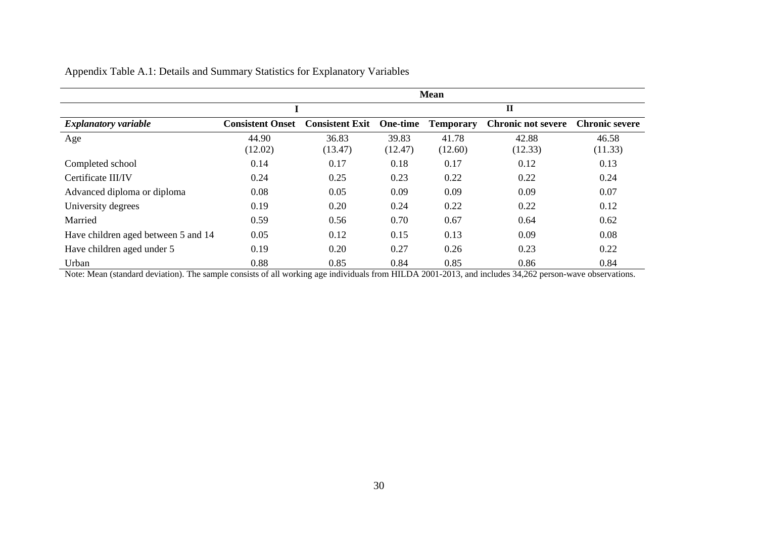|                                     |                         |                        |          | <b>Mean</b>      |                           |                       |
|-------------------------------------|-------------------------|------------------------|----------|------------------|---------------------------|-----------------------|
|                                     |                         |                        |          |                  | $\mathbf{I}$              |                       |
| <b>Explanatory variable</b>         | <b>Consistent Onset</b> | <b>Consistent Exit</b> | One-time | <b>Temporary</b> | <b>Chronic not severe</b> | <b>Chronic severe</b> |
| Age                                 | 44.90                   | 36.83                  | 39.83    | 41.78            | 42.88                     | 46.58                 |
|                                     | (12.02)                 | (13.47)                | (12.47)  | (12.60)          | (12.33)                   | (11.33)               |
| Completed school                    | 0.14                    | 0.17                   | 0.18     | 0.17             | 0.12                      | 0.13                  |
| Certificate III/IV                  | 0.24                    | 0.25                   | 0.23     | 0.22             | 0.22                      | 0.24                  |
| Advanced diploma or diploma         | 0.08                    | 0.05                   | 0.09     | 0.09             | 0.09                      | 0.07                  |
| University degrees                  | 0.19                    | 0.20                   | 0.24     | 0.22             | 0.22                      | 0.12                  |
| Married                             | 0.59                    | 0.56                   | 0.70     | 0.67             | 0.64                      | 0.62                  |
| Have children aged between 5 and 14 | 0.05                    | 0.12                   | 0.15     | 0.13             | 0.09                      | 0.08                  |
| Have children aged under 5          | 0.19                    | 0.20                   | 0.27     | 0.26             | 0.23                      | 0.22                  |
| Urban                               | 0.88                    | 0.85                   | 0.84     | 0.85             | 0.86                      | 0.84                  |

### Appendix Table A.1: Details and Summary Statistics for Explanatory Variables

Note: Mean (standard deviation). The sample consists of all working age individuals from HILDA 2001-2013, and includes 34,262 person-wave observations.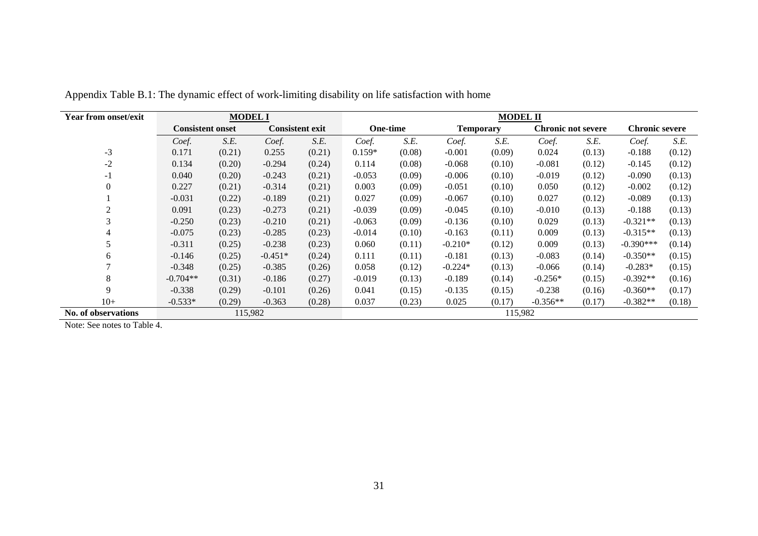| <b>Year from onset/exit</b> |                         | <b>MODEL I</b> |                        |        | <b>MODEL II</b> |        |                  |        |                           |        |                       |        |  |
|-----------------------------|-------------------------|----------------|------------------------|--------|-----------------|--------|------------------|--------|---------------------------|--------|-----------------------|--------|--|
|                             | <b>Consistent onset</b> |                | <b>Consistent exit</b> |        | One-time        |        | <b>Temporary</b> |        | <b>Chronic not severe</b> |        | <b>Chronic severe</b> |        |  |
|                             | Coef.                   | S.E.           | Coef.                  | S.E.   | Coef.           | S.E.   | Coef.            | S.E.   | Coef.                     | S.E.   | Coef.                 | S.E.   |  |
| $-3$                        | 0.171                   | (0.21)         | 0.255                  | (0.21) | $0.159*$        | (0.08) | $-0.001$         | (0.09) | 0.024                     | (0.13) | $-0.188$              | (0.12) |  |
| $-2$                        | 0.134                   | (0.20)         | $-0.294$               | (0.24) | 0.114           | (0.08) | $-0.068$         | (0.10) | $-0.081$                  | (0.12) | $-0.145$              | (0.12) |  |
| $-1$                        | 0.040                   | (0.20)         | $-0.243$               | (0.21) | $-0.053$        | (0.09) | $-0.006$         | (0.10) | $-0.019$                  | (0.12) | $-0.090$              | (0.13) |  |
| $\boldsymbol{0}$            | 0.227                   | (0.21)         | $-0.314$               | (0.21) | 0.003           | (0.09) | $-0.051$         | (0.10) | 0.050                     | (0.12) | $-0.002$              | (0.12) |  |
|                             | $-0.031$                | (0.22)         | $-0.189$               | (0.21) | 0.027           | (0.09) | $-0.067$         | (0.10) | 0.027                     | (0.12) | $-0.089$              | (0.13) |  |
| $\mathfrak{2}$              | 0.091                   | (0.23)         | $-0.273$               | (0.21) | $-0.039$        | (0.09) | $-0.045$         | (0.10) | $-0.010$                  | (0.13) | $-0.188$              | (0.13) |  |
| 3                           | $-0.250$                | (0.23)         | $-0.210$               | (0.21) | $-0.063$        | (0.09) | $-0.136$         | (0.10) | 0.029                     | (0.13) | $-0.321**$            | (0.13) |  |
|                             | $-0.075$                | (0.23)         | $-0.285$               | (0.23) | $-0.014$        | (0.10) | $-0.163$         | (0.11) | 0.009                     | (0.13) | $-0.315**$            | (0.13) |  |
|                             | $-0.311$                | (0.25)         | $-0.238$               | (0.23) | 0.060           | (0.11) | $-0.210*$        | (0.12) | 0.009                     | (0.13) | $-0.390***$           | (0.14) |  |
| 6                           | $-0.146$                | (0.25)         | $-0.451*$              | (0.24) | 0.111           | (0.11) | $-0.181$         | (0.13) | $-0.083$                  | (0.14) | $-0.350**$            | (0.15) |  |
| $\overline{ }$              | $-0.348$                | (0.25)         | $-0.385$               | (0.26) | 0.058           | (0.12) | $-0.224*$        | (0.13) | $-0.066$                  | (0.14) | $-0.283*$             | (0.15) |  |
| 8                           | $-0.704**$              | (0.31)         | $-0.186$               | (0.27) | $-0.019$        | (0.13) | $-0.189$         | (0.14) | $-0.256*$                 | (0.15) | $-0.392**$            | (0.16) |  |
| 9                           | $-0.338$                | (0.29)         | $-0.101$               | (0.26) | 0.041           | (0.15) | $-0.135$         | (0.15) | $-0.238$                  | (0.16) | $-0.360**$            | (0.17) |  |
| $10+$                       | $-0.533*$               | (0.29)         | $-0.363$               | (0.28) | 0.037           | (0.23) | 0.025            | (0.17) | $-0.356**$                | (0.17) | $-0.382**$            | (0.18) |  |
| No. of observations         | 115,982                 |                |                        |        | 115,982         |        |                  |        |                           |        |                       |        |  |

Appendix Table B.1: The dynamic effect of work-limiting disability on life satisfaction with home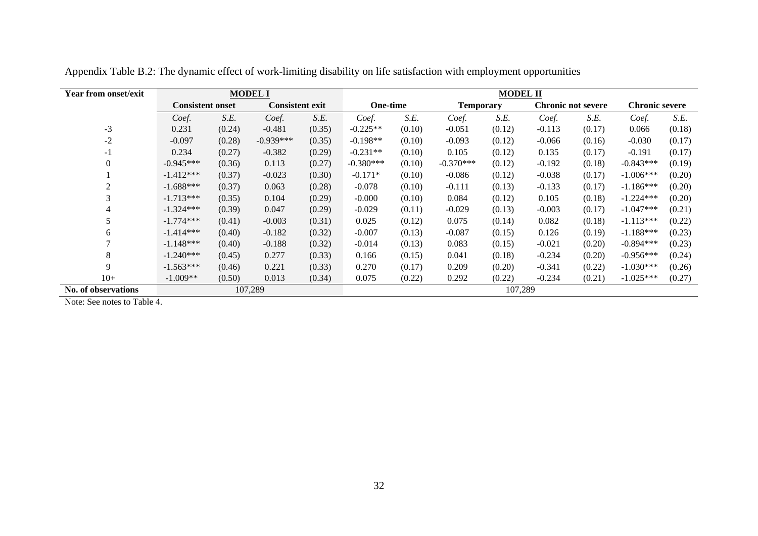| <b>Year from onset/exit</b> |                         |         | <b>MODEL I</b>         |        | <b>MODEL II</b> |        |                  |        |          |                           |                       |        |  |
|-----------------------------|-------------------------|---------|------------------------|--------|-----------------|--------|------------------|--------|----------|---------------------------|-----------------------|--------|--|
|                             | <b>Consistent onset</b> |         | <b>Consistent exit</b> |        | <b>One-time</b> |        | <b>Temporary</b> |        |          | <b>Chronic not severe</b> | <b>Chronic severe</b> |        |  |
|                             | Coef.                   | S.E.    | Coef.                  | S.E.   | Coef.           | S.E.   | Coef.            | S.E.   | Coef.    | S.E.                      | Coef.                 | S.E.   |  |
| $-3$                        | 0.231                   | (0.24)  | $-0.481$               | (0.35) | $-0.225**$      | (0.10) | $-0.051$         | (0.12) | $-0.113$ | (0.17)                    | 0.066                 | (0.18) |  |
| $-2$                        | $-0.097$                | (0.28)  | $-0.939***$            | (0.35) | $-0.198**$      | (0.10) | $-0.093$         | (0.12) | $-0.066$ | (0.16)                    | $-0.030$              | (0.17) |  |
| $-1$                        | 0.234                   | (0.27)  | $-0.382$               | (0.29) | $-0.231**$      | (0.10) | 0.105            | (0.12) | 0.135    | (0.17)                    | $-0.191$              | (0.17) |  |
| $\Omega$                    | $-0.945***$             | (0.36)  | 0.113                  | (0.27) | $-0.380***$     | (0.10) | $-0.370***$      | (0.12) | $-0.192$ | (0.18)                    | $-0.843***$           | (0.19) |  |
|                             | $-1.412***$             | (0.37)  | $-0.023$               | (0.30) | $-0.171*$       | (0.10) | $-0.086$         | (0.12) | $-0.038$ | (0.17)                    | $-1.006***$           | (0.20) |  |
| 2                           | $-1.688***$             | (0.37)  | 0.063                  | (0.28) | $-0.078$        | (0.10) | $-0.111$         | (0.13) | $-0.133$ | (0.17)                    | $-1.186***$           | (0.20) |  |
| 3                           | $-1.713***$             | (0.35)  | 0.104                  | (0.29) | $-0.000$        | (0.10) | 0.084            | (0.12) | 0.105    | (0.18)                    | $-1.224***$           | (0.20) |  |
| 4                           | $-1.324***$             | (0.39)  | 0.047                  | (0.29) | $-0.029$        | (0.11) | $-0.029$         | (0.13) | $-0.003$ | (0.17)                    | $-1.047***$           | (0.21) |  |
| 5                           | $-1.774***$             | (0.41)  | $-0.003$               | (0.31) | 0.025           | (0.12) | 0.075            | (0.14) | 0.082    | (0.18)                    | $-1.113***$           | (0.22) |  |
| 6                           | $-1.414***$             | (0.40)  | $-0.182$               | (0.32) | $-0.007$        | (0.13) | $-0.087$         | (0.15) | 0.126    | (0.19)                    | $-1.188***$           | (0.23) |  |
|                             | $-1.148***$             | (0.40)  | $-0.188$               | (0.32) | $-0.014$        | (0.13) | 0.083            | (0.15) | $-0.021$ | (0.20)                    | $-0.894***$           | (0.23) |  |
| 8                           | $-1.240***$             | (0.45)  | 0.277                  | (0.33) | 0.166           | (0.15) | 0.041            | (0.18) | $-0.234$ | (0.20)                    | $-0.956***$           | (0.24) |  |
| 9                           | $-1.563***$             | (0.46)  | 0.221                  | (0.33) | 0.270           | (0.17) | 0.209            | (0.20) | $-0.341$ | (0.22)                    | $-1.030***$           | (0.26) |  |
| $10+$                       | $-1.009**$              | (0.50)  | 0.013                  | (0.34) | 0.075           | (0.22) | 0.292            | (0.22) | $-0.234$ | (0.21)                    | $-1.025***$           | (0.27) |  |
| No. of observations         |                         | 107,289 | 107,289                |        |                 |        |                  |        |          |                           |                       |        |  |

Appendix Table B.2: The dynamic effect of work-limiting disability on life satisfaction with employment opportunities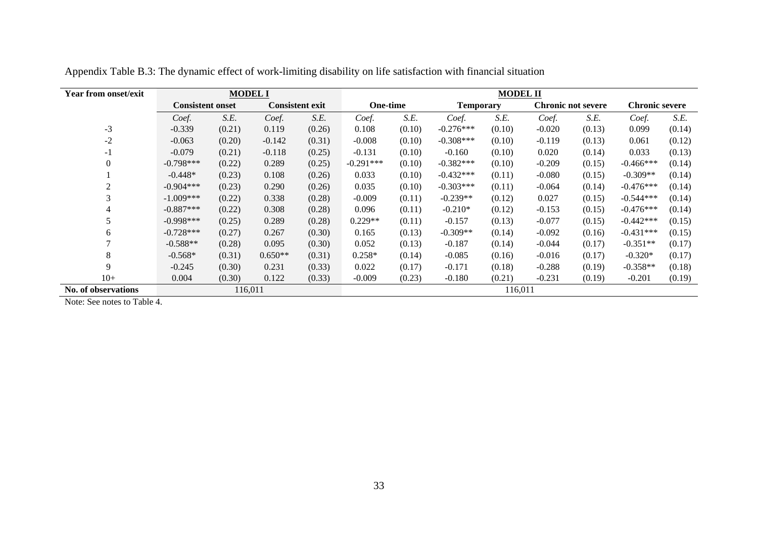| <b>Year from onset/exit</b> |                         | <b>MODEL I</b> |           |                        | <b>MODEL II</b> |        |                  |        |          |                           |                       |        |  |
|-----------------------------|-------------------------|----------------|-----------|------------------------|-----------------|--------|------------------|--------|----------|---------------------------|-----------------------|--------|--|
|                             | <b>Consistent onset</b> |                |           | <b>Consistent exit</b> | <b>One-time</b> |        | <b>Temporary</b> |        |          | <b>Chronic not severe</b> | <b>Chronic severe</b> |        |  |
|                             | Coef.                   | S.E.           | Coef.     | S.E.                   | Coef.           | S.E.   | Coef.            | S.E.   | Coef.    | S.E.                      | Coef.                 | S.E.   |  |
| $-3$                        | $-0.339$                | (0.21)         | 0.119     | (0.26)                 | 0.108           | (0.10) | $-0.276***$      | (0.10) | $-0.020$ | (0.13)                    | 0.099                 | (0.14) |  |
| $-2$                        | $-0.063$                | (0.20)         | $-0.142$  | (0.31)                 | $-0.008$        | (0.10) | $-0.308***$      | (0.10) | $-0.119$ | (0.13)                    | 0.061                 | (0.12) |  |
| $-1$                        | $-0.079$                | (0.21)         | $-0.118$  | (0.25)                 | $-0.131$        | (0.10) | $-0.160$         | (0.10) | 0.020    | (0.14)                    | 0.033                 | (0.13) |  |
| $\mathbf{0}$                | $-0.798***$             | (0.22)         | 0.289     | (0.25)                 | $-0.291***$     | (0.10) | $-0.382***$      | (0.10) | $-0.209$ | (0.15)                    | $-0.466***$           | (0.14) |  |
|                             | $-0.448*$               | (0.23)         | 0.108     | (0.26)                 | 0.033           | (0.10) | $-0.432***$      | (0.11) | $-0.080$ | (0.15)                    | $-0.309**$            | (0.14) |  |
| 2                           | $-0.904***$             | (0.23)         | 0.290     | (0.26)                 | 0.035           | (0.10) | $-0.303***$      | (0.11) | $-0.064$ | (0.14)                    | $-0.476***$           | (0.14) |  |
| 3                           | $-1.009***$             | (0.22)         | 0.338     | (0.28)                 | $-0.009$        | (0.11) | $-0.239**$       | (0.12) | 0.027    | (0.15)                    | $-0.544***$           | (0.14) |  |
| 4                           | $-0.887***$             | (0.22)         | 0.308     | (0.28)                 | 0.096           | (0.11) | $-0.210*$        | (0.12) | $-0.153$ | (0.15)                    | $-0.476***$           | (0.14) |  |
|                             | $-0.998***$             | (0.25)         | 0.289     | (0.28)                 | $0.229**$       | (0.11) | $-0.157$         | (0.13) | $-0.077$ | (0.15)                    | $-0.442***$           | (0.15) |  |
| 6                           | $-0.728***$             | (0.27)         | 0.267     | (0.30)                 | 0.165           | (0.13) | $-0.309**$       | (0.14) | $-0.092$ | (0.16)                    | $-0.431***$           | (0.15) |  |
|                             | $-0.588**$              | (0.28)         | 0.095     | (0.30)                 | 0.052           | (0.13) | $-0.187$         | (0.14) | $-0.044$ | (0.17)                    | $-0.351**$            | (0.17) |  |
| 8                           | $-0.568*$               | (0.31)         | $0.650**$ | (0.31)                 | $0.258*$        | (0.14) | $-0.085$         | (0.16) | $-0.016$ | (0.17)                    | $-0.320*$             | (0.17) |  |
| 9                           | $-0.245$                | (0.30)         | 0.231     | (0.33)                 | 0.022           | (0.17) | $-0.171$         | (0.18) | $-0.288$ | (0.19)                    | $-0.358**$            | (0.18) |  |
| $10+$                       | 0.004                   | (0.30)         | 0.122     | (0.33)                 | $-0.009$        | (0.23) | $-0.180$         | (0.21) | $-0.231$ | (0.19)                    | $-0.201$              | (0.19) |  |
| No. of observations         |                         | 116,011        |           | 116,011                |                 |        |                  |        |          |                           |                       |        |  |

Appendix Table B.3: The dynamic effect of work-limiting disability on life satisfaction with financial situation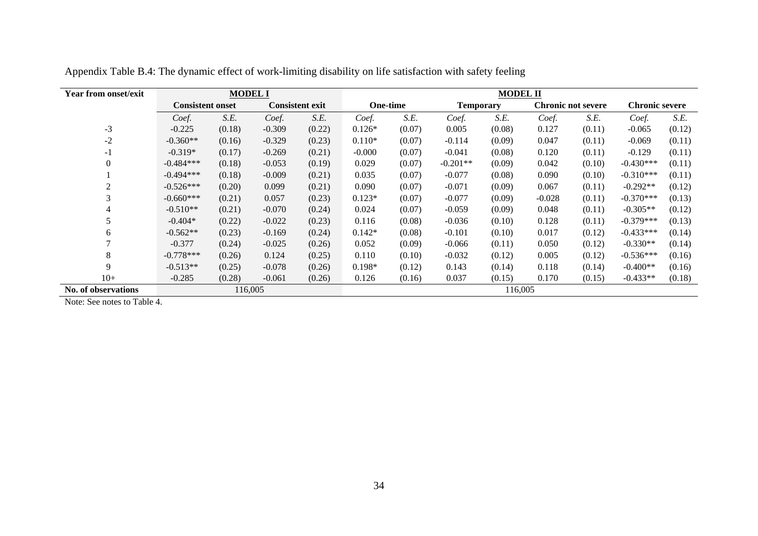| <b>Year from onset/exit</b> |                         | <b>MODEL I</b> |          | <b>MODEL II</b>        |          |                 |                  |        |          |                           |                       |        |
|-----------------------------|-------------------------|----------------|----------|------------------------|----------|-----------------|------------------|--------|----------|---------------------------|-----------------------|--------|
|                             | <b>Consistent onset</b> |                |          | <b>Consistent exit</b> |          | <b>One-time</b> | <b>Temporary</b> |        |          | <b>Chronic not severe</b> | <b>Chronic severe</b> |        |
|                             | Coef.                   | S.E.           | Coef.    | S.E.                   | Coef.    | S.E.            | Coef.            | S.E.   | Coef.    | S.E.                      | Coef.                 | S.E.   |
| $-3$                        | $-0.225$                | (0.18)         | $-0.309$ | (0.22)                 | $0.126*$ | (0.07)          | 0.005            | (0.08) | 0.127    | (0.11)                    | $-0.065$              | (0.12) |
| $-2$                        | $-0.360**$              | (0.16)         | $-0.329$ | (0.23)                 | $0.110*$ | (0.07)          | $-0.114$         | (0.09) | 0.047    | (0.11)                    | $-0.069$              | (0.11) |
| $-1$                        | $-0.319*$               | (0.17)         | $-0.269$ | (0.21)                 | $-0.000$ | (0.07)          | $-0.041$         | (0.08) | 0.120    | (0.11)                    | $-0.129$              | (0.11) |
| $\Omega$                    | $-0.484***$             | (0.18)         | $-0.053$ | (0.19)                 | 0.029    | (0.07)          | $-0.201**$       | (0.09) | 0.042    | (0.10)                    | $-0.430***$           | (0.11) |
|                             | $-0.494***$             | (0.18)         | $-0.009$ | (0.21)                 | 0.035    | (0.07)          | $-0.077$         | (0.08) | 0.090    | (0.10)                    | $-0.310***$           | (0.11) |
| $\overline{2}$              | $-0.526***$             | (0.20)         | 0.099    | (0.21)                 | 0.090    | (0.07)          | $-0.071$         | (0.09) | 0.067    | (0.11)                    | $-0.292**$            | (0.12) |
| 3                           | $-0.660***$             | (0.21)         | 0.057    | (0.23)                 | $0.123*$ | (0.07)          | $-0.077$         | (0.09) | $-0.028$ | (0.11)                    | $-0.370***$           | (0.13) |
| 4                           | $-0.510**$              | (0.21)         | $-0.070$ | (0.24)                 | 0.024    | (0.07)          | $-0.059$         | (0.09) | 0.048    | (0.11)                    | $-0.305**$            | (0.12) |
|                             | $-0.404*$               | (0.22)         | $-0.022$ | (0.23)                 | 0.116    | (0.08)          | $-0.036$         | (0.10) | 0.128    | (0.11)                    | $-0.379***$           | (0.13) |
| 6                           | $-0.562**$              | (0.23)         | $-0.169$ | (0.24)                 | $0.142*$ | (0.08)          | $-0.101$         | (0.10) | 0.017    | (0.12)                    | $-0.433***$           | (0.14) |
|                             | $-0.377$                | (0.24)         | $-0.025$ | (0.26)                 | 0.052    | (0.09)          | $-0.066$         | (0.11) | 0.050    | (0.12)                    | $-0.330**$            | (0.14) |
| 8                           | $-0.778***$             | (0.26)         | 0.124    | (0.25)                 | 0.110    | (0.10)          | $-0.032$         | (0.12) | 0.005    | (0.12)                    | $-0.536***$           | (0.16) |
| 9                           | $-0.513**$              | (0.25)         | $-0.078$ | (0.26)                 | $0.198*$ | (0.12)          | 0.143            | (0.14) | 0.118    | (0.14)                    | $-0.400**$            | (0.16) |
| $10+$                       | $-0.285$                | (0.28)         | $-0.061$ | (0.26)                 | 0.126    | (0.16)          | 0.037            | (0.15) | 0.170    | (0.15)                    | $-0.433**$            | (0.18) |
| No. of observations         |                         | 116,005        |          | 116,005                |          |                 |                  |        |          |                           |                       |        |

Appendix Table B.4: The dynamic effect of work-limiting disability on life satisfaction with safety feeling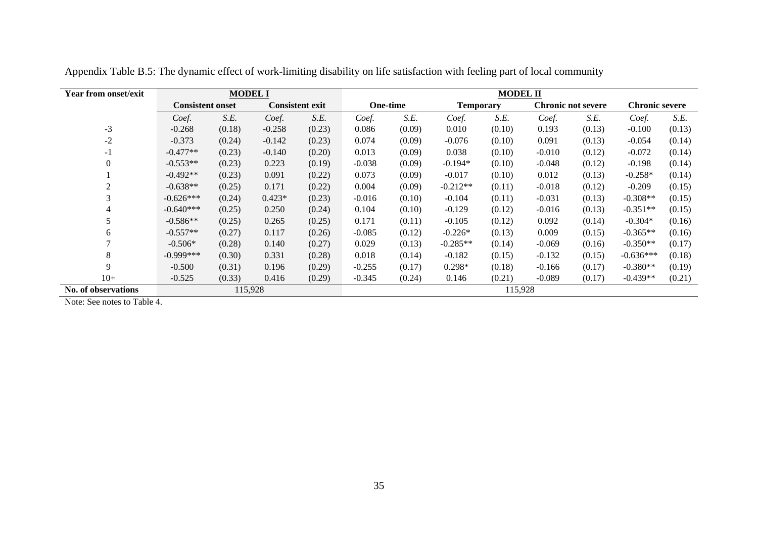| <b>Year from onset/exit</b> |                         | <b>MODEL I</b> |          | <b>MODEL II</b>        |          |                 |                  |        |          |                           |                       |        |
|-----------------------------|-------------------------|----------------|----------|------------------------|----------|-----------------|------------------|--------|----------|---------------------------|-----------------------|--------|
|                             | <b>Consistent onset</b> |                |          | <b>Consistent exit</b> |          | <b>One-time</b> | <b>Temporary</b> |        |          | <b>Chronic not severe</b> | <b>Chronic severe</b> |        |
|                             | Coef.                   | S.E.           | Coef.    | S.E.                   | Coef.    | S.E.            | Coef.            | S.E.   | Coef.    | S.E.                      | Coef.                 | S.E.   |
| $-3$                        | $-0.268$                | (0.18)         | $-0.258$ | (0.23)                 | 0.086    | (0.09)          | 0.010            | (0.10) | 0.193    | (0.13)                    | $-0.100$              | (0.13) |
| $-2$                        | $-0.373$                | (0.24)         | $-0.142$ | (0.23)                 | 0.074    | (0.09)          | $-0.076$         | (0.10) | 0.091    | (0.13)                    | $-0.054$              | (0.14) |
| $-1$                        | $-0.477**$              | (0.23)         | $-0.140$ | (0.20)                 | 0.013    | (0.09)          | 0.038            | (0.10) | $-0.010$ | (0.12)                    | $-0.072$              | (0.14) |
|                             | $-0.553**$              | (0.23)         | 0.223    | (0.19)                 | $-0.038$ | (0.09)          | $-0.194*$        | (0.10) | $-0.048$ | (0.12)                    | $-0.198$              | (0.14) |
|                             | $-0.492**$              | (0.23)         | 0.091    | (0.22)                 | 0.073    | (0.09)          | $-0.017$         | (0.10) | 0.012    | (0.13)                    | $-0.258*$             | (0.14) |
| 2                           | $-0.638**$              | (0.25)         | 0.171    | (0.22)                 | 0.004    | (0.09)          | $-0.212**$       | (0.11) | $-0.018$ | (0.12)                    | $-0.209$              | (0.15) |
| 3                           | $-0.626***$             | (0.24)         | $0.423*$ | (0.23)                 | $-0.016$ | (0.10)          | $-0.104$         | (0.11) | $-0.031$ | (0.13)                    | $-0.308**$            | (0.15) |
|                             | $-0.640***$             | (0.25)         | 0.250    | (0.24)                 | 0.104    | (0.10)          | $-0.129$         | (0.12) | $-0.016$ | (0.13)                    | $-0.351**$            | (0.15) |
| 5                           | $-0.586**$              | (0.25)         | 0.265    | (0.25)                 | 0.171    | (0.11)          | $-0.105$         | (0.12) | 0.092    | (0.14)                    | $-0.304*$             | (0.16) |
| 6                           | $-0.557**$              | (0.27)         | 0.117    | (0.26)                 | $-0.085$ | (0.12)          | $-0.226*$        | (0.13) | 0.009    | (0.15)                    | $-0.365**$            | (0.16) |
|                             | $-0.506*$               | (0.28)         | 0.140    | (0.27)                 | 0.029    | (0.13)          | $-0.285**$       | (0.14) | $-0.069$ | (0.16)                    | $-0.350**$            | (0.17) |
| 8                           | $-0.999***$             | (0.30)         | 0.331    | (0.28)                 | 0.018    | (0.14)          | $-0.182$         | (0.15) | $-0.132$ | (0.15)                    | $-0.636***$           | (0.18) |
| 9                           | $-0.500$                | (0.31)         | 0.196    | (0.29)                 | $-0.255$ | (0.17)          | $0.298*$         | (0.18) | $-0.166$ | (0.17)                    | $-0.380**$            | (0.19) |
| $10+$                       | $-0.525$                | (0.33)         | 0.416    | (0.29)                 | $-0.345$ | (0.24)          | 0.146            | (0.21) | $-0.089$ | (0.17)                    | $-0.439**$            | (0.21) |
| No. of observations         |                         | 115,928        |          | 115,928                |          |                 |                  |        |          |                           |                       |        |

Appendix Table B.5: The dynamic effect of work-limiting disability on life satisfaction with feeling part of local community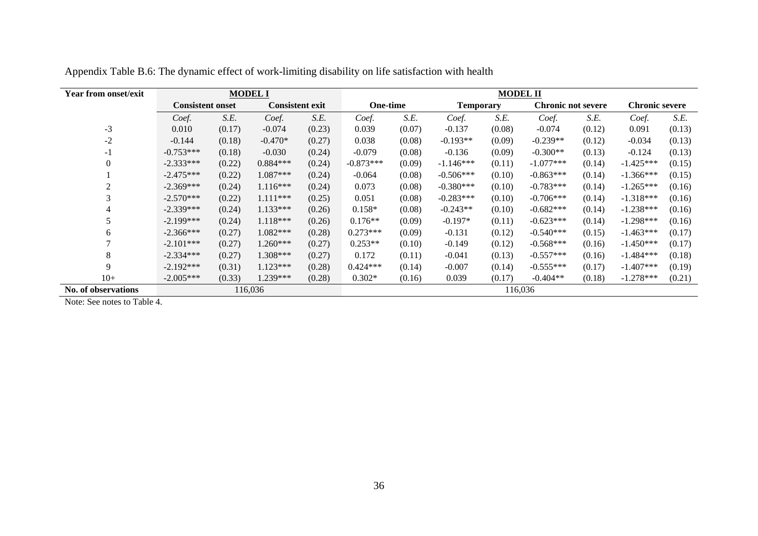| <b>Year from onset/exit</b> |                         |        | <b>MODEL I</b>         |        |                 | <b>MODEL II</b> |                  |        |                           |        |                       |        |  |  |
|-----------------------------|-------------------------|--------|------------------------|--------|-----------------|-----------------|------------------|--------|---------------------------|--------|-----------------------|--------|--|--|
|                             | <b>Consistent onset</b> |        | <b>Consistent exit</b> |        | <b>One-time</b> |                 | <b>Temporary</b> |        | <b>Chronic not severe</b> |        | <b>Chronic severe</b> |        |  |  |
|                             | Coef.                   | S.E.   | Coef.                  | S.E.   | Coef.           | S.E.            | Coef.            | S.E.   | Coef.                     | S.E.   | Coef.                 | S.E.   |  |  |
| $-3$                        | 0.010                   | (0.17) | $-0.074$               | (0.23) | 0.039           | (0.07)          | $-0.137$         | (0.08) | $-0.074$                  | (0.12) | 0.091                 | (0.13) |  |  |
| $-2$                        | $-0.144$                | (0.18) | $-0.470*$              | (0.27) | 0.038           | (0.08)          | $-0.193**$       | (0.09) | $-0.239**$                | (0.12) | $-0.034$              | (0.13) |  |  |
| - 1                         | $-0.753***$             | (0.18) | $-0.030$               | (0.24) | $-0.079$        | (0.08)          | $-0.136$         | (0.09) | $-0.300**$                | (0.13) | $-0.124$              | (0.13) |  |  |
|                             | $-2.333***$             | (0.22) | $0.884***$             | (0.24) | $-0.873***$     | (0.09)          | $-1.146***$      | (0.11) | $-1.077***$               | (0.14) | $-1.425***$           | (0.15) |  |  |
|                             | $-2.475***$             | (0.22) | 1.087***               | (0.24) | $-0.064$        | (0.08)          | $-0.506***$      | (0.10) | $-0.863***$               | (0.14) | $-1.366***$           | (0.15) |  |  |
| 2                           | $-2.369***$             | (0.24) | $1.116***$             | (0.24) | 0.073           | (0.08)          | $-0.380***$      | (0.10) | $-0.783***$               | (0.14) | $-1.265***$           | (0.16) |  |  |
| 3                           | $-2.570***$             | (0.22) | $1.111***$             | (0.25) | 0.051           | (0.08)          | $-0.283***$      | (0.10) | $-0.706***$               | (0.14) | $-1.318***$           | (0.16) |  |  |
| 4                           | $-2.339***$             | (0.24) | $1.133***$             | (0.26) | $0.158*$        | (0.08)          | $-0.243**$       | (0.10) | $-0.682***$               | (0.14) | $-1.238***$           | (0.16) |  |  |
|                             | $-2.199***$             | (0.24) | $1.118***$             | (0.26) | $0.176**$       | (0.09)          | $-0.197*$        | (0.11) | $-0.623***$               | (0.14) | $-1.298***$           | (0.16) |  |  |
| 6                           | $-2.366***$             | (0.27) | 1.082***               | (0.28) | $0.273***$      | (0.09)          | $-0.131$         | (0.12) | $-0.540***$               | (0.15) | $-1.463***$           | (0.17) |  |  |
|                             | $-2.101***$             | (0.27) | 1.260***               | (0.27) | $0.253**$       | (0.10)          | $-0.149$         | (0.12) | $-0.568***$               | (0.16) | $-1.450***$           | (0.17) |  |  |
| 8                           | $-2.334***$             | (0.27) | 1.308***               | (0.27) | 0.172           | (0.11)          | $-0.041$         | (0.13) | $-0.557***$               | (0.16) | $-1.484***$           | (0.18) |  |  |
| $\mathbf Q$                 | $-2.192***$             | (0.31) | $1.123***$             | (0.28) | $0.424***$      | (0.14)          | $-0.007$         | (0.14) | $-0.555***$               | (0.17) | $-1.407***$           | (0.19) |  |  |
| $10+$                       | $-2.005***$             | (0.33) | 1.239***               | (0.28) | $0.302*$        | (0.16)          | 0.039            | (0.17) | $-0.404**$                | (0.18) | $-1.278***$           | (0.21) |  |  |
| No. of observations         |                         |        | 116,036                |        |                 | 116,036         |                  |        |                           |        |                       |        |  |  |

Appendix Table B.6: The dynamic effect of work-limiting disability on life satisfaction with health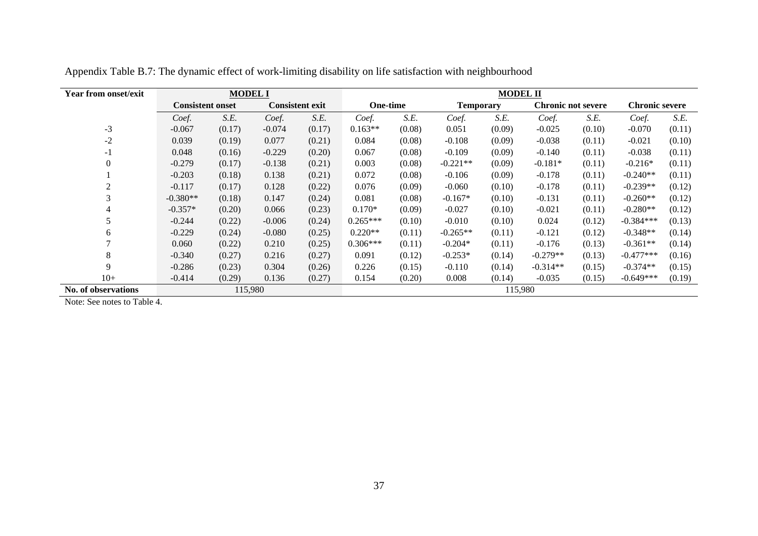| <b>Year from onset/exit</b> |                         | <b>MODEL I</b> |          | <b>MODEL II</b>        |                 |        |                  |        |                           |        |                       |        |
|-----------------------------|-------------------------|----------------|----------|------------------------|-----------------|--------|------------------|--------|---------------------------|--------|-----------------------|--------|
|                             | <b>Consistent onset</b> |                |          | <b>Consistent exit</b> | <b>One-time</b> |        | <b>Temporary</b> |        | <b>Chronic not severe</b> |        | <b>Chronic severe</b> |        |
|                             | Coef.                   | S.E.           | Coef.    | S.E.                   | Coef.           | S.E.   | Coef.            | S.E.   | Coef.                     | S.E.   | Coef.                 | S.E.   |
| $-3$                        | $-0.067$                | (0.17)         | $-0.074$ | (0.17)                 | $0.163**$       | (0.08) | 0.051            | (0.09) | $-0.025$                  | (0.10) | $-0.070$              | (0.11) |
| $-2$                        | 0.039                   | (0.19)         | 0.077    | (0.21)                 | 0.084           | (0.08) | $-0.108$         | (0.09) | $-0.038$                  | (0.11) | $-0.021$              | (0.10) |
| $-1$                        | 0.048                   | (0.16)         | $-0.229$ | (0.20)                 | 0.067           | (0.08) | $-0.109$         | (0.09) | $-0.140$                  | (0.11) | $-0.038$              | (0.11) |
|                             | $-0.279$                | (0.17)         | $-0.138$ | (0.21)                 | 0.003           | (0.08) | $-0.221**$       | (0.09) | $-0.181*$                 | (0.11) | $-0.216*$             | (0.11) |
|                             | $-0.203$                | (0.18)         | 0.138    | (0.21)                 | 0.072           | (0.08) | $-0.106$         | (0.09) | $-0.178$                  | (0.11) | $-0.240**$            | (0.11) |
| 2                           | $-0.117$                | (0.17)         | 0.128    | (0.22)                 | 0.076           | (0.09) | $-0.060$         | (0.10) | $-0.178$                  | (0.11) | $-0.239**$            | (0.12) |
| 3                           | $-0.380**$              | (0.18)         | 0.147    | (0.24)                 | 0.081           | (0.08) | $-0.167*$        | (0.10) | $-0.131$                  | (0.11) | $-0.260**$            | (0.12) |
|                             | $-0.357*$               | (0.20)         | 0.066    | (0.23)                 | $0.170*$        | (0.09) | $-0.027$         | (0.10) | $-0.021$                  | (0.11) | $-0.280**$            | (0.12) |
| 5                           | $-0.244$                | (0.22)         | $-0.006$ | (0.24)                 | $0.265***$      | (0.10) | $-0.010$         | (0.10) | 0.024                     | (0.12) | $-0.384***$           | (0.13) |
| 6                           | $-0.229$                | (0.24)         | $-0.080$ | (0.25)                 | $0.220**$       | (0.11) | $-0.265**$       | (0.11) | $-0.121$                  | (0.12) | $-0.348**$            | (0.14) |
|                             | 0.060                   | (0.22)         | 0.210    | (0.25)                 | $0.306***$      | (0.11) | $-0.204*$        | (0.11) | $-0.176$                  | (0.13) | $-0.361**$            | (0.14) |
| 8                           | $-0.340$                | (0.27)         | 0.216    | (0.27)                 | 0.091           | (0.12) | $-0.253*$        | (0.14) | $-0.279**$                | (0.13) | $-0.477***$           | (0.16) |
| 9                           | $-0.286$                | (0.23)         | 0.304    | (0.26)                 | 0.226           | (0.15) | $-0.110$         | (0.14) | $-0.314**$                | (0.15) | $-0.374**$            | (0.15) |
| $10+$                       | $-0.414$                | (0.29)         | 0.136    | (0.27)                 | 0.154           | (0.20) | 0.008            | (0.14) | $-0.035$                  | (0.15) | $-0.649***$           | (0.19) |
| No. of observations         |                         | 115,980        |          | 115,980                |                 |        |                  |        |                           |        |                       |        |

Appendix Table B.7: The dynamic effect of work-limiting disability on life satisfaction with neighbourhood